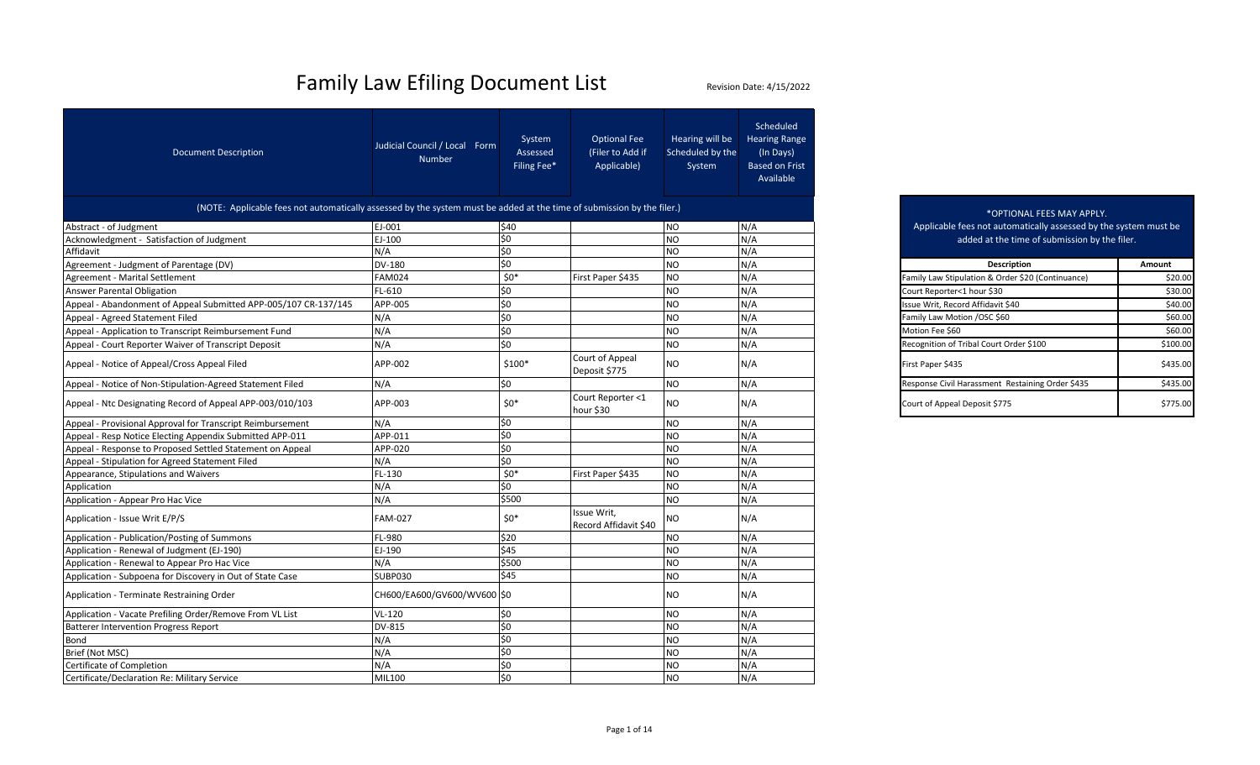| <b>Document Description</b>                                                                                            | Judicial Council / Local Form<br>Number | System<br>Assessed<br>Filing Fee* | <b>Optional Fee</b><br>(Filer to Add if<br>Applicable) | Hearing will be<br>Scheduled by the<br>System | Scheduled<br><b>Hearing Range</b><br>(In Days)<br><b>Based on Frist</b><br>Available |                   |                                                                  |          |
|------------------------------------------------------------------------------------------------------------------------|-----------------------------------------|-----------------------------------|--------------------------------------------------------|-----------------------------------------------|--------------------------------------------------------------------------------------|-------------------|------------------------------------------------------------------|----------|
| (NOTE: Applicable fees not automatically assessed by the system must be added at the time of submission by the filer.) |                                         |                                   |                                                        |                                               |                                                                                      |                   | *OPTIONAL FEES MAY APPLY.                                        |          |
| Abstract - of Judgment                                                                                                 | EJ-001                                  | \$40                              |                                                        | <b>NO</b>                                     | N/A                                                                                  |                   | Applicable fees not automatically assessed by the system must be |          |
| Acknowledgment - Satisfaction of Judgment                                                                              | EJ-100                                  | \$0                               |                                                        | N <sub>O</sub>                                | N/A                                                                                  |                   | added at the time of submission by the filer.                    |          |
| Affidavit                                                                                                              | N/A                                     | \$0                               |                                                        | <b>NO</b>                                     | N/A                                                                                  |                   |                                                                  |          |
| Agreement - Judgment of Parentage (DV)                                                                                 | <b>DV-180</b>                           | \$0                               |                                                        | NO.                                           | N/A                                                                                  |                   | <b>Description</b>                                               | Amount   |
| Agreement - Marital Settlement                                                                                         | <b>FAM024</b>                           | $$0*$                             | First Paper \$435                                      | <b>NO</b>                                     | N/A                                                                                  |                   | Family Law Stipulation & Order \$20 (Continuance)                | \$20.00  |
| Answer Parental Obligation                                                                                             | FL-610                                  | \$0                               |                                                        | NO                                            | N/A                                                                                  |                   | Court Reporter<1 hour \$30                                       | \$30.00  |
| Appeal - Abandonment of Appeal Submitted APP-005/107 CR-137/145                                                        | APP-005                                 | \$0                               |                                                        | <b>NO</b>                                     | N/A                                                                                  |                   | Issue Writ, Record Affidavit \$40                                | \$40.00  |
| Appeal - Agreed Statement Filed                                                                                        | N/A                                     | \$0                               |                                                        | <b>NO</b>                                     | N/A                                                                                  |                   | Family Law Motion /OSC \$60                                      | \$60.00  |
| Appeal - Application to Transcript Reimbursement Fund                                                                  | N/A                                     | \$0                               |                                                        | NO                                            | N/A                                                                                  | Motion Fee \$60   |                                                                  | \$60.00  |
| Appeal - Court Reporter Waiver of Transcript Deposit                                                                   | N/A                                     | \$0                               |                                                        | NO                                            | N/A                                                                                  |                   | Recognition of Tribal Court Order \$100                          | \$100.00 |
| Appeal - Notice of Appeal/Cross Appeal Filed                                                                           | APP-002                                 | $$100*$                           | Court of Appeal<br>Deposit \$775                       | NO.                                           | N/A                                                                                  | First Paper \$435 |                                                                  | \$435.00 |
| Appeal - Notice of Non-Stipulation-Agreed Statement Filed                                                              | N/A                                     | \$0                               |                                                        | NO.                                           | N/A                                                                                  |                   | Response Civil Harassment Restaining Order \$435                 | \$435.00 |
| Appeal - Ntc Designating Record of Appeal APP-003/010/103                                                              | APP-003                                 | $$0*$                             | Court Reporter <1<br>hour \$30                         | NO.                                           | N/A                                                                                  |                   | Court of Appeal Deposit \$775                                    | \$775.00 |
| Appeal - Provisional Approval for Transcript Reimbursement                                                             | N/A                                     | \$0                               |                                                        | <b>NO</b>                                     | N/A                                                                                  |                   |                                                                  |          |
| Appeal - Resp Notice Electing Appendix Submitted APP-011                                                               | APP-011                                 | \$0                               |                                                        | <b>NO</b>                                     | N/A                                                                                  |                   |                                                                  |          |
| Appeal - Response to Proposed Settled Statement on Appeal                                                              | APP-020                                 | \$0                               |                                                        | <b>NO</b>                                     | N/A                                                                                  |                   |                                                                  |          |
| Appeal - Stipulation for Agreed Statement Filed                                                                        | N/A                                     | \$0                               |                                                        | <b>NO</b>                                     | N/A                                                                                  |                   |                                                                  |          |
| Appearance, Stipulations and Waivers                                                                                   | FL-130                                  | $$0*$                             | First Paper \$435                                      | <b>NO</b>                                     | N/A                                                                                  |                   |                                                                  |          |
| Application                                                                                                            | N/A                                     | \$0                               |                                                        | <b>NO</b>                                     | N/A                                                                                  |                   |                                                                  |          |
| Application - Appear Pro Hac Vice                                                                                      | N/A                                     | \$500                             |                                                        | NO                                            | N/A                                                                                  |                   |                                                                  |          |
| Application - Issue Writ E/P/S                                                                                         | <b>FAM-027</b>                          | $$0*$                             | Issue Writ,<br>Record Affidavit \$40                   | NO                                            | N/A                                                                                  |                   |                                                                  |          |
| Application - Publication/Posting of Summons                                                                           | FL-980                                  | \$20                              |                                                        | <b>NO</b>                                     | N/A                                                                                  |                   |                                                                  |          |
| Application - Renewal of Judgment (EJ-190)                                                                             | EJ-190                                  | \$45                              |                                                        | <b>NO</b>                                     | N/A                                                                                  |                   |                                                                  |          |
| Application - Renewal to Appear Pro Hac Vice                                                                           | N/A                                     | \$500                             |                                                        | NO.                                           | N/A                                                                                  |                   |                                                                  |          |
| Application - Subpoena for Discovery in Out of State Case                                                              | <b>SUBP030</b>                          | \$45                              |                                                        | NO                                            | N/A                                                                                  |                   |                                                                  |          |
| <b>Application - Terminate Restraining Order</b>                                                                       | CH600/EA600/GV600/WV600 \$0             |                                   |                                                        | NO                                            | N/A                                                                                  |                   |                                                                  |          |
| Application - Vacate Prefiling Order/Remove From VL List                                                               | <b>VL-120</b>                           | \$0                               |                                                        | <b>NO</b>                                     | N/A                                                                                  |                   |                                                                  |          |
| <b>Batterer Intervention Progress Report</b>                                                                           | DV-815                                  | \$0                               |                                                        | NO.                                           | N/A                                                                                  |                   |                                                                  |          |
| Bond                                                                                                                   | N/A                                     | \$0                               |                                                        | NO.                                           | N/A                                                                                  |                   |                                                                  |          |
| Brief (Not MSC)                                                                                                        | N/A                                     | \$0                               |                                                        | NO                                            | N/A                                                                                  |                   |                                                                  |          |
| Certificate of Completion                                                                                              | N/A                                     | \$0                               |                                                        | <b>NO</b>                                     | N/A                                                                                  |                   |                                                                  |          |
| Certificate/Declaration Re: Military Service                                                                           | <b>MIL100</b>                           | \$0                               |                                                        | <b>NO</b>                                     | N/A                                                                                  |                   |                                                                  |          |

| "UPTIUNAL FEES MAY APPLY.<br>Applicable fees not automatically assessed by the system must be<br>added at the time of submission by the filer. |         |  |  |  |  |  |  |
|------------------------------------------------------------------------------------------------------------------------------------------------|---------|--|--|--|--|--|--|
| <b>Description</b>                                                                                                                             | Amount  |  |  |  |  |  |  |
| amily Law Stipulation & Order \$20 (Continuance)                                                                                               | \$20.0  |  |  |  |  |  |  |
| ourt Reporter<1 hour \$30                                                                                                                      | \$30.0  |  |  |  |  |  |  |
| sue Writ, Record Affidavit \$40                                                                                                                | \$40.0  |  |  |  |  |  |  |
| amily Law Motion /OSC \$60                                                                                                                     | \$60.0  |  |  |  |  |  |  |
| 1otion Fee \$60                                                                                                                                | \$60.0  |  |  |  |  |  |  |
| ecognition of Tribal Court Order \$100                                                                                                         | \$100.0 |  |  |  |  |  |  |
|                                                                                                                                                |         |  |  |  |  |  |  |

|                                  |           | $\mathbf{N}$ | <b>INCLUSITION OF THREE COULD DIDGE STOU</b>     | J100.00  |
|----------------------------------|-----------|--------------|--------------------------------------------------|----------|
| Court of Appeal<br>Deposit \$775 | <b>NO</b> | N/A          | First Paper \$435                                | \$435.00 |
|                                  | <b>NO</b> | N/A          | Response Civil Harassment Restaining Order \$435 | \$435.00 |
| Court Reporter <1<br>$L = 1$     | <b>NO</b> | N/A          | Court of Appeal Deposit \$775                    | \$775.00 |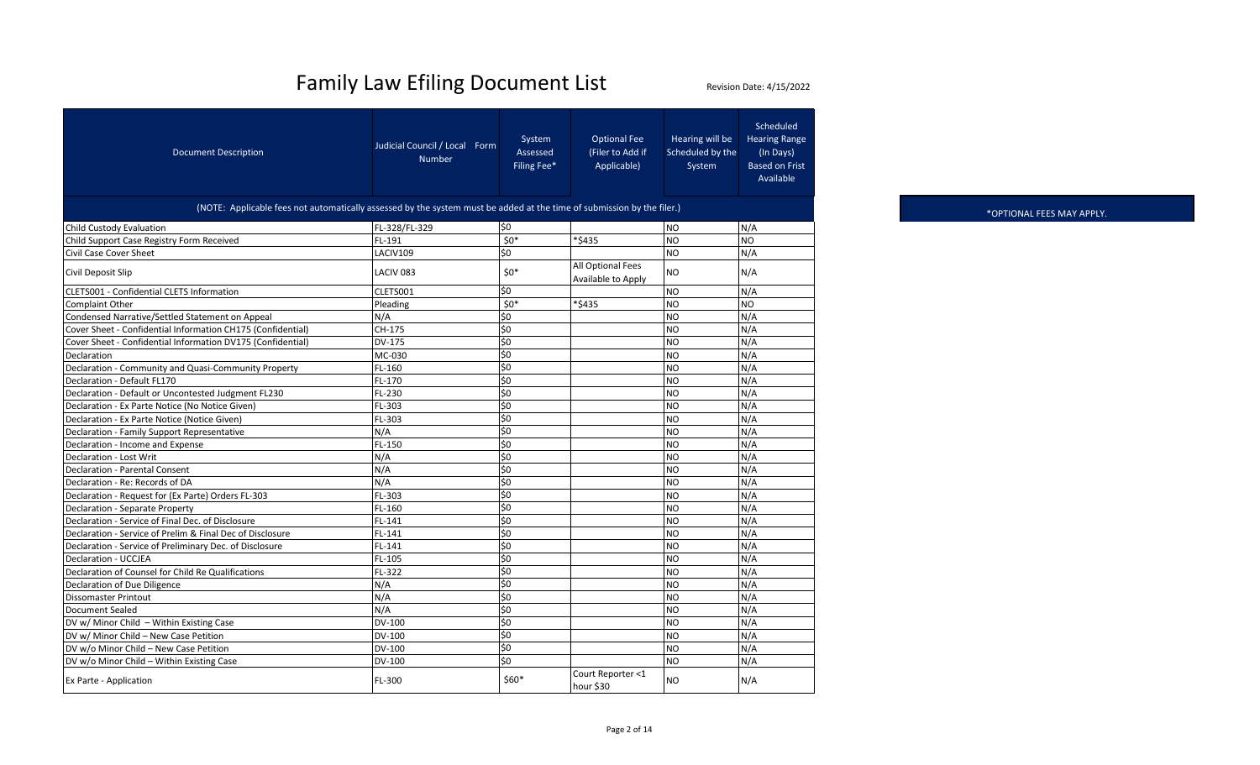| <b>Document Description</b>                                 | Judicial Council / Local Form<br><b>Number</b>                                                                         | System<br>Assessed<br>Filing Fee* | <b>Optional Fee</b><br>(Filer to Add if<br>Applicable) | Hearing will be<br>Scheduled by the<br>System | Scheduled<br><b>Hearing Range</b><br>(In Days)<br><b>Based on Frist</b><br>Available |  |  |  |  |  |
|-------------------------------------------------------------|------------------------------------------------------------------------------------------------------------------------|-----------------------------------|--------------------------------------------------------|-----------------------------------------------|--------------------------------------------------------------------------------------|--|--|--|--|--|
|                                                             | (NOTE: Applicable fees not automatically assessed by the system must be added at the time of submission by the filer.) |                                   |                                                        |                                               |                                                                                      |  |  |  |  |  |
| Child Custody Evaluation                                    | FL-328/FL-329                                                                                                          | \$0                               |                                                        | N <sub>O</sub>                                | N/A                                                                                  |  |  |  |  |  |
| Child Support Case Registry Form Received                   | FL-191                                                                                                                 | $50*$                             | *\$435                                                 | <b>NO</b>                                     | <b>NO</b>                                                                            |  |  |  |  |  |
| Civil Case Cover Sheet                                      | LACIV109                                                                                                               | \$0                               |                                                        | <b>NO</b>                                     | N/A                                                                                  |  |  |  |  |  |
| Civil Deposit Slip                                          | LACIV <sub>083</sub>                                                                                                   | $50*$                             | All Optional Fees<br>Available to Apply                | <b>NO</b>                                     | N/A                                                                                  |  |  |  |  |  |
| CLETS001 - Confidential CLETS Information                   | CLETS001                                                                                                               | \$0                               |                                                        | <b>NO</b>                                     | N/A                                                                                  |  |  |  |  |  |
| <b>Complaint Other</b>                                      | Pleading                                                                                                               | $50*$                             | *\$435                                                 | <b>NO</b>                                     | <b>NO</b>                                                                            |  |  |  |  |  |
| Condensed Narrative/Settled Statement on Appeal             | N/A                                                                                                                    | \$0                               |                                                        | <b>NO</b>                                     | N/A                                                                                  |  |  |  |  |  |
| Cover Sheet - Confidential Information CH175 (Confidential) | CH-175                                                                                                                 | \$0                               |                                                        | <b>NO</b>                                     | N/A                                                                                  |  |  |  |  |  |
| Cover Sheet - Confidential Information DV175 (Confidential) | DV-175                                                                                                                 | \$0                               |                                                        | <b>NO</b>                                     | N/A                                                                                  |  |  |  |  |  |
| Declaration                                                 | MC-030                                                                                                                 | \$0                               |                                                        | <b>NO</b>                                     | N/A                                                                                  |  |  |  |  |  |
| Declaration - Community and Quasi-Community Property        | FL-160                                                                                                                 | \$0                               |                                                        | <b>NO</b>                                     | N/A                                                                                  |  |  |  |  |  |
| Declaration - Default FL170                                 | FL-170                                                                                                                 | $\frac{1}{2}$                     |                                                        | <b>NO</b>                                     | N/A                                                                                  |  |  |  |  |  |
| Declaration - Default or Uncontested Judgment FL230         | FL-230                                                                                                                 | \$0                               |                                                        | <b>NO</b>                                     | N/A                                                                                  |  |  |  |  |  |
| Declaration - Ex Parte Notice (No Notice Given)             | FL-303                                                                                                                 | \$0                               |                                                        | <b>NO</b>                                     | N/A                                                                                  |  |  |  |  |  |
| Declaration - Ex Parte Notice (Notice Given)                | FL-303                                                                                                                 | \$0                               |                                                        | <b>NO</b>                                     | N/A                                                                                  |  |  |  |  |  |
| Declaration - Family Support Representative                 | N/A                                                                                                                    | \$0                               |                                                        | <b>NO</b>                                     | N/A                                                                                  |  |  |  |  |  |
| Declaration - Income and Expense                            | FL-150                                                                                                                 | \$0                               |                                                        | <b>NO</b>                                     | N/A                                                                                  |  |  |  |  |  |
| Declaration - Lost Writ                                     | N/A                                                                                                                    | \$0                               |                                                        | <b>NO</b>                                     | N/A                                                                                  |  |  |  |  |  |
| <b>Declaration - Parental Consent</b>                       | N/A                                                                                                                    | \$0                               |                                                        | <b>NO</b>                                     | N/A                                                                                  |  |  |  |  |  |
| Declaration - Re: Records of DA                             | N/A                                                                                                                    | \$0                               |                                                        | <b>NO</b>                                     | N/A                                                                                  |  |  |  |  |  |
| Declaration - Request for (Ex Parte) Orders FL-303          | FL-303                                                                                                                 | \$0                               |                                                        | <b>NO</b>                                     | N/A                                                                                  |  |  |  |  |  |
| Declaration - Separate Property                             | FL-160                                                                                                                 | \$0                               |                                                        | <b>NO</b>                                     | N/A                                                                                  |  |  |  |  |  |
| Declaration - Service of Final Dec. of Disclosure           | FL-141                                                                                                                 | \$0                               |                                                        | <b>NO</b>                                     | N/A                                                                                  |  |  |  |  |  |
| Declaration - Service of Prelim & Final Dec of Disclosure   | FL-141                                                                                                                 | \$0                               |                                                        | <b>NO</b>                                     | N/A                                                                                  |  |  |  |  |  |
| Declaration - Service of Preliminary Dec. of Disclosure     | FL-141                                                                                                                 | \$0                               |                                                        | <b>NO</b>                                     | N/A                                                                                  |  |  |  |  |  |
| <b>Declaration - UCCJEA</b>                                 | FL-105                                                                                                                 | \$0                               |                                                        | <b>NO</b>                                     | N/A                                                                                  |  |  |  |  |  |
| Declaration of Counsel for Child Re Qualifications          | FL-322                                                                                                                 | \$0                               |                                                        | <b>NO</b>                                     | N/A                                                                                  |  |  |  |  |  |
| Declaration of Due Diligence                                | N/A                                                                                                                    | \$0                               |                                                        | <b>NO</b>                                     | N/A                                                                                  |  |  |  |  |  |
| <b>Dissomaster Printout</b>                                 | N/A                                                                                                                    | \$0                               |                                                        | <b>NO</b>                                     | N/A                                                                                  |  |  |  |  |  |
| <b>Document Sealed</b>                                      | N/A                                                                                                                    | \$0                               |                                                        | <b>NO</b>                                     | N/A                                                                                  |  |  |  |  |  |
| DV w/ Minor Child - Within Existing Case                    | DV-100                                                                                                                 | \$0                               |                                                        | <b>NO</b>                                     | N/A                                                                                  |  |  |  |  |  |
| DV w/ Minor Child - New Case Petition                       | DV-100                                                                                                                 | \$0                               |                                                        | <b>NO</b>                                     | N/A                                                                                  |  |  |  |  |  |
| DV w/o Minor Child - New Case Petition                      | DV-100                                                                                                                 | \$0                               |                                                        | <b>NO</b>                                     | N/A                                                                                  |  |  |  |  |  |
| DV w/o Minor Child - Within Existing Case                   | DV-100                                                                                                                 | \$0                               |                                                        | <b>NO</b>                                     | N/A                                                                                  |  |  |  |  |  |
| Ex Parte - Application                                      | FL-300                                                                                                                 | \$60*                             | Court Reporter <1<br>hour \$30                         | <b>NO</b>                                     | N/A                                                                                  |  |  |  |  |  |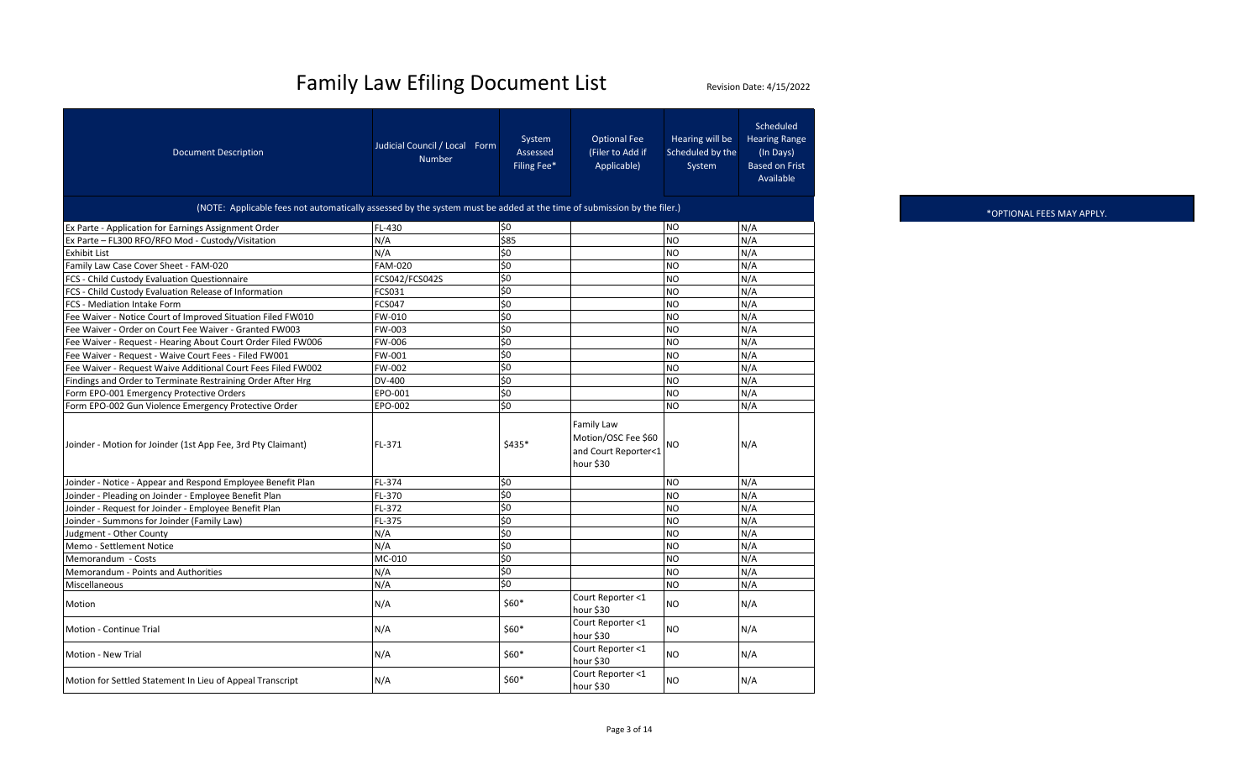| <b>Document Description</b>                                                                                            | Judicial Council / Local Form<br><b>Number</b> | System<br>Assessed<br>Filing Fee* | <b>Optional Fee</b><br>(Filer to Add if<br>Applicable)                 | Hearing will be<br>Scheduled by the<br>System | Scheduled<br><b>Hearing Range</b><br>(In Days)<br><b>Based on Frist</b><br>Available |
|------------------------------------------------------------------------------------------------------------------------|------------------------------------------------|-----------------------------------|------------------------------------------------------------------------|-----------------------------------------------|--------------------------------------------------------------------------------------|
| (NOTE: Applicable fees not automatically assessed by the system must be added at the time of submission by the filer.) |                                                |                                   |                                                                        |                                               |                                                                                      |
| Ex Parte - Application for Earnings Assignment Order                                                                   | FL-430                                         | \$0                               |                                                                        | <b>NO</b>                                     | N/A                                                                                  |
| Ex Parte - FL300 RFO/RFO Mod - Custody/Visitation                                                                      | N/A                                            | \$85                              |                                                                        | <b>NO</b>                                     | N/A                                                                                  |
| <b>Exhibit List</b>                                                                                                    | N/A                                            | \$0                               |                                                                        | <b>NO</b>                                     | N/A                                                                                  |
| Family Law Case Cover Sheet - FAM-020                                                                                  | <b>FAM-020</b>                                 | \$0                               |                                                                        | <b>NO</b>                                     | N/A                                                                                  |
| FCS - Child Custody Evaluation Questionnaire                                                                           | FCS042/FCS042S                                 | \$0                               |                                                                        | <b>NO</b>                                     | N/A                                                                                  |
| FCS - Child Custody Evaluation Release of Information                                                                  | FCS031                                         | \$0                               |                                                                        | N <sub>O</sub>                                | N/A                                                                                  |
| FCS - Mediation Intake Form                                                                                            | <b>FCS047</b>                                  | \$0                               |                                                                        | <b>NO</b>                                     | N/A                                                                                  |
| Fee Waiver - Notice Court of Improved Situation Filed FW010                                                            | FW-010                                         | $\overline{\overline{50}}$        |                                                                        | <b>NO</b>                                     | N/A                                                                                  |
| Fee Waiver - Order on Court Fee Waiver - Granted FW003                                                                 | FW-003                                         | \$0                               |                                                                        | <b>NO</b>                                     | N/A                                                                                  |
| Fee Waiver - Request - Hearing About Court Order Filed FW006                                                           | FW-006                                         | \$0                               |                                                                        | N <sub>O</sub>                                | N/A                                                                                  |
| Fee Waiver - Request - Waive Court Fees - Filed FW001                                                                  | FW-001                                         | \$0                               |                                                                        | N <sub>O</sub>                                | N/A                                                                                  |
| Fee Waiver - Request Waive Additional Court Fees Filed FW002                                                           | FW-002                                         | \$0                               |                                                                        | N <sub>O</sub>                                | N/A                                                                                  |
| Findings and Order to Terminate Restraining Order After Hrg                                                            | DV-400                                         | \$0                               |                                                                        | <b>NO</b>                                     | N/A                                                                                  |
| Form EPO-001 Emergency Protective Orders                                                                               | EPO-001                                        | \$0                               |                                                                        | <b>NO</b>                                     | N/A                                                                                  |
| Form EPO-002 Gun Violence Emergency Protective Order                                                                   | EPO-002                                        | \$0                               |                                                                        | <b>NO</b>                                     | N/A                                                                                  |
| Joinder - Motion for Joinder (1st App Fee, 3rd Pty Claimant)                                                           | FL-371                                         | \$435*                            | Family Law<br>Motion/OSC Fee \$60<br>and Court Reporter<1<br>hour \$30 | NΟ                                            | N/A                                                                                  |
| Joinder - Notice - Appear and Respond Employee Benefit Plan                                                            | FL-374                                         | \$0                               |                                                                        | <b>NO</b>                                     | N/A                                                                                  |
| Joinder - Pleading on Joinder - Employee Benefit Plan                                                                  | FL-370                                         | \$0                               |                                                                        | N <sub>O</sub>                                | N/A                                                                                  |
| Joinder - Request for Joinder - Employee Benefit Plan                                                                  | FL-372                                         | \$0                               |                                                                        | <b>NO</b>                                     | N/A                                                                                  |
| Joinder - Summons for Joinder (Family Law)                                                                             | FL-375                                         | \$0                               |                                                                        | <b>NO</b>                                     | N/A                                                                                  |
| Judgment - Other County                                                                                                | N/A                                            | \$0                               |                                                                        | <b>NO</b>                                     | N/A                                                                                  |
| Memo - Settlement Notice                                                                                               | N/A                                            | $\overline{\xi_0}$                |                                                                        | <b>NO</b>                                     | N/A                                                                                  |
| Memorandum - Costs                                                                                                     | MC-010                                         | $\overline{\overline{50}}$        |                                                                        | <b>NO</b>                                     | N/A                                                                                  |
| Memorandum - Points and Authorities                                                                                    | N/A                                            | \$0                               |                                                                        | N <sub>O</sub>                                | N/A                                                                                  |
| Miscellaneous                                                                                                          | N/A                                            | \$0                               |                                                                        | N <sub>O</sub>                                | N/A                                                                                  |
| Motion                                                                                                                 | N/A                                            | $$60*$                            | Court Reporter <1<br>hour \$30                                         | <b>NO</b>                                     | N/A                                                                                  |
| <b>Motion - Continue Trial</b>                                                                                         | N/A                                            | \$60*                             | Court Reporter <1<br>hour \$30                                         | <b>NO</b>                                     | N/A                                                                                  |
| Motion - New Trial                                                                                                     | N/A                                            | $$60*$                            | Court Reporter <1<br>hour \$30                                         | <b>NO</b>                                     | N/A                                                                                  |
| Motion for Settled Statement In Lieu of Appeal Transcript                                                              | N/A                                            | $$60*$                            | Court Reporter <1<br>hour \$30                                         | <b>NO</b>                                     | N/A                                                                                  |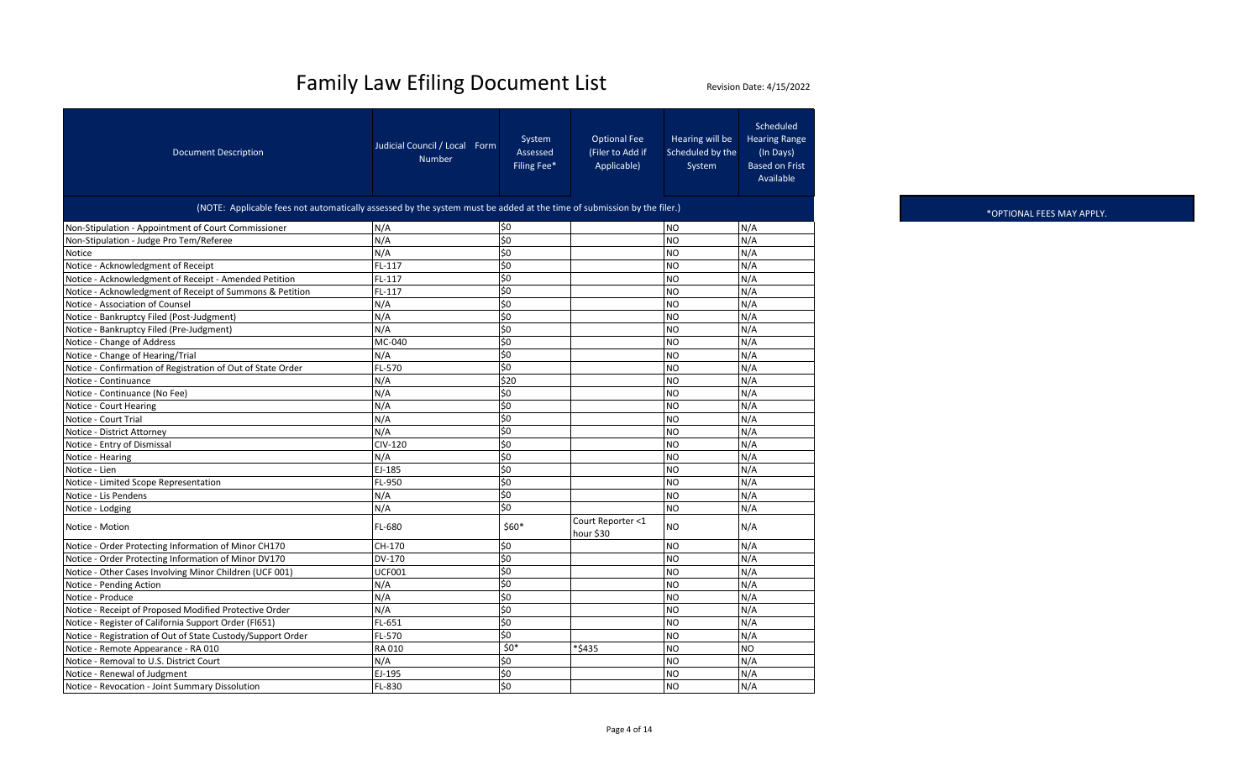| <b>Document Description</b>                                                                                            | Judicial Council / Local Form<br><b>Number</b> | System<br>Assessed<br>Filing Fee* | <b>Optional Fee</b><br>(Filer to Add if<br>Applicable) | Hearing will be<br>Scheduled by the<br>System | Scheduled<br><b>Hearing Range</b><br>(In Days)<br><b>Based on Frist</b><br>Available |
|------------------------------------------------------------------------------------------------------------------------|------------------------------------------------|-----------------------------------|--------------------------------------------------------|-----------------------------------------------|--------------------------------------------------------------------------------------|
| (NOTE: Applicable fees not automatically assessed by the system must be added at the time of submission by the filer.) |                                                |                                   |                                                        |                                               |                                                                                      |
| Non-Stipulation - Appointment of Court Commissioner                                                                    | N/A                                            | \$0                               |                                                        | N <sub>O</sub>                                | N/A                                                                                  |
| Non-Stipulation - Judge Pro Tem/Referee                                                                                | N/A                                            | $\overline{\xi_0}$                |                                                        | <b>NO</b>                                     | N/A                                                                                  |
| Notice                                                                                                                 | N/A                                            | \$0                               |                                                        | <b>NO</b>                                     | N/A                                                                                  |
| Notice - Acknowledgment of Receipt                                                                                     | FL-117                                         | \$0                               |                                                        | <b>NO</b>                                     | N/A                                                                                  |
| Notice - Acknowledgment of Receipt - Amended Petition                                                                  | FL-117                                         | $\overline{\xi}$                  |                                                        | <b>NO</b>                                     | N/A                                                                                  |
| Notice - Acknowledgment of Receipt of Summons & Petition                                                               | FL-117                                         | $\overline{\xi_0}$                |                                                        | N <sub>O</sub>                                | N/A                                                                                  |
| Notice - Association of Counsel                                                                                        | N/A                                            | \$0                               |                                                        | <b>NO</b>                                     | N/A                                                                                  |
| Notice - Bankruptcy Filed (Post-Judgment)                                                                              | N/A                                            | $\overline{\overline{50}}$        |                                                        | <b>NO</b>                                     | N/A                                                                                  |
| Notice - Bankruptcy Filed (Pre-Judgment)                                                                               | N/A                                            | \$0                               |                                                        | <b>NO</b>                                     | N/A                                                                                  |
| Notice - Change of Address                                                                                             | MC-040                                         | \$0                               |                                                        | N <sub>O</sub>                                | N/A                                                                                  |
| Notice - Change of Hearing/Trial                                                                                       | N/A                                            | \$0                               |                                                        | N <sub>O</sub>                                | N/A                                                                                  |
| Notice - Confirmation of Registration of Out of State Order                                                            | FL-570                                         | \$0                               |                                                        | <b>NO</b>                                     | N/A                                                                                  |
| Notice - Continuance                                                                                                   | N/A                                            | \$20                              |                                                        | <b>NO</b>                                     | N/A                                                                                  |
| Notice - Continuance (No Fee)                                                                                          | N/A                                            | \$0                               |                                                        | <b>NO</b>                                     | N/A                                                                                  |
| Notice - Court Hearing                                                                                                 | N/A                                            | \$0                               |                                                        | <b>NO</b>                                     | N/A                                                                                  |
| Notice - Court Trial                                                                                                   | N/A                                            | \$0                               |                                                        | <b>NO</b>                                     | N/A                                                                                  |
| Notice - District Attorney                                                                                             | N/A                                            | \$0                               |                                                        | <b>NO</b>                                     | N/A                                                                                  |
| Notice - Entry of Dismissal                                                                                            | CIV-120                                        | \$0                               |                                                        | <b>NO</b>                                     | N/A                                                                                  |
| Notice - Hearing                                                                                                       | N/A                                            | \$0                               |                                                        | N <sub>O</sub>                                | N/A                                                                                  |
| Notice - Lien                                                                                                          | EJ-185                                         | \$0                               |                                                        | <b>NO</b>                                     | N/A                                                                                  |
| Notice - Limited Scope Representation                                                                                  | FL-950                                         | \$0                               |                                                        | <b>NO</b>                                     | N/A                                                                                  |
| Notice - Lis Pendens                                                                                                   | N/A                                            | \$0                               |                                                        | N <sub>O</sub>                                | N/A                                                                                  |
| Notice - Lodging                                                                                                       | N/A                                            | \$0                               |                                                        | <b>NO</b>                                     | N/A                                                                                  |
| Notice - Motion                                                                                                        | FL-680                                         | \$60*                             | Court Reporter <1<br>hour \$30                         | <b>NO</b>                                     | N/A                                                                                  |
| Notice - Order Protecting Information of Minor CH170                                                                   | CH-170                                         | \$0                               |                                                        | <b>NO</b>                                     | N/A                                                                                  |
| Notice - Order Protecting Information of Minor DV170                                                                   | DV-170                                         | $\overline{30}$                   |                                                        | <b>NO</b>                                     | N/A                                                                                  |
| Notice - Other Cases Involving Minor Children (UCF 001)                                                                | UCF001                                         | \$0                               |                                                        | <b>NO</b>                                     | N/A                                                                                  |
| Notice - Pending Action                                                                                                | N/A                                            | \$0                               |                                                        | N <sub>O</sub>                                | N/A                                                                                  |
| Notice - Produce                                                                                                       | N/A                                            | \$0                               |                                                        | <b>NO</b>                                     | N/A                                                                                  |
| Notice - Receipt of Proposed Modified Protective Order                                                                 | N/A                                            | \$0                               |                                                        | <b>NO</b>                                     | N/A                                                                                  |
| Notice - Register of California Support Order (FI651)                                                                  | $FL-651$                                       | $\overline{\xi_0}$                |                                                        | <b>NO</b>                                     | N/A                                                                                  |
| Notice - Registration of Out of State Custody/Support Order                                                            | FL-570                                         | \$0                               |                                                        | <b>NO</b>                                     | N/A                                                                                  |
| Notice - Remote Appearance - RA 010                                                                                    | RA 010                                         | $$0*$                             | *\$435                                                 | <b>NO</b>                                     | <b>NO</b>                                                                            |
| Notice - Removal to U.S. District Court                                                                                | N/A                                            | \$0                               |                                                        | <b>NO</b>                                     | N/A                                                                                  |
| Notice - Renewal of Judgment                                                                                           | EJ-195                                         | \$0                               |                                                        | <b>NO</b>                                     | N/A                                                                                  |
| Notice - Revocation - Joint Summary Dissolution                                                                        | FL-830                                         | \$0                               |                                                        | N <sub>O</sub>                                | N/A                                                                                  |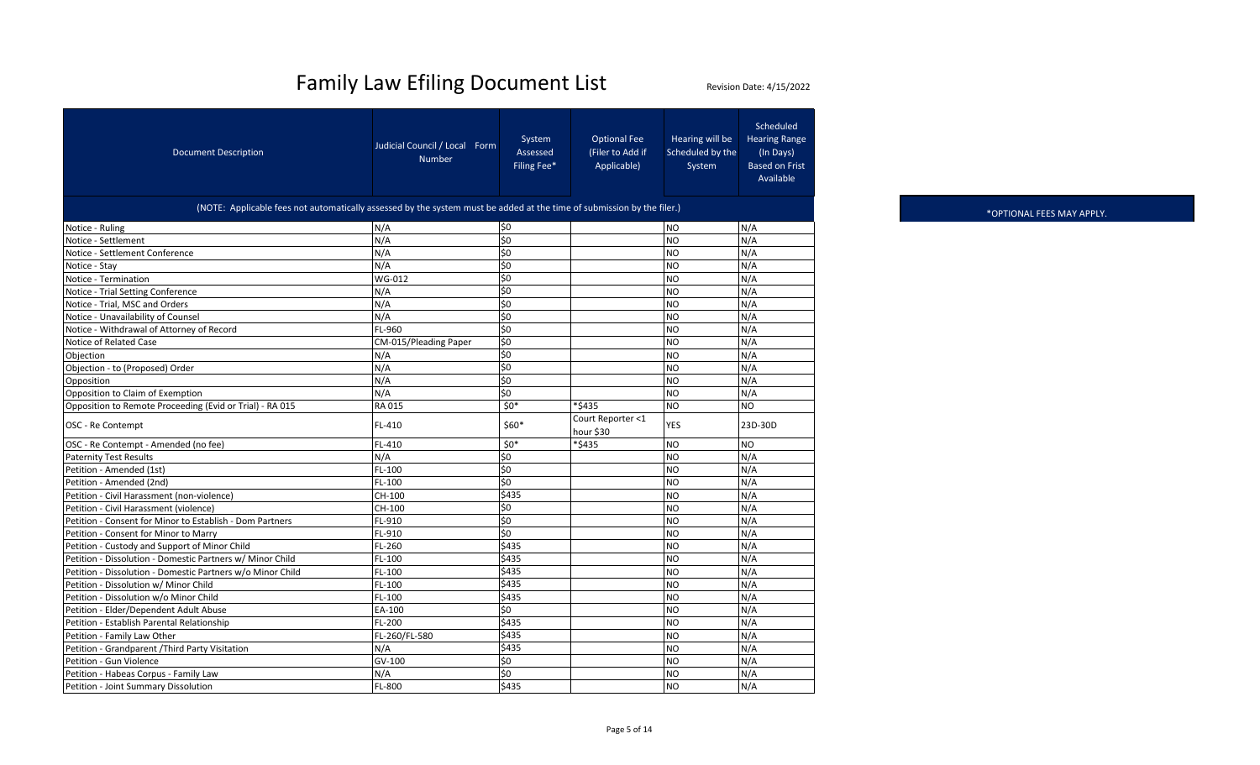| <b>Document Description</b>                                                                                            | Judicial Council / Local Form<br><b>Number</b> | System<br>Assessed<br>Filing Fee* | <b>Optional Fee</b><br>(Filer to Add if<br>Applicable) | Hearing will be<br>Scheduled by the<br>System | Scheduled<br><b>Hearing Range</b><br>(In Days)<br><b>Based on Frist</b><br>Available |  |  |  |  |  |
|------------------------------------------------------------------------------------------------------------------------|------------------------------------------------|-----------------------------------|--------------------------------------------------------|-----------------------------------------------|--------------------------------------------------------------------------------------|--|--|--|--|--|
| (NOTE: Applicable fees not automatically assessed by the system must be added at the time of submission by the filer.) |                                                |                                   |                                                        |                                               |                                                                                      |  |  |  |  |  |
| Notice - Ruling                                                                                                        | N/A                                            | \$0                               |                                                        | <b>NO</b>                                     | N/A                                                                                  |  |  |  |  |  |
| Notice - Settlement                                                                                                    | N/A                                            | \$0                               |                                                        | N <sub>O</sub>                                | N/A                                                                                  |  |  |  |  |  |
| Notice - Settlement Conference                                                                                         | N/A                                            | \$0                               |                                                        | <b>NO</b>                                     | N/A                                                                                  |  |  |  |  |  |
| Notice - Stay                                                                                                          | N/A                                            | \$0                               |                                                        | <b>NO</b>                                     | N/A                                                                                  |  |  |  |  |  |
| Notice - Termination                                                                                                   | WG-012                                         | \$0                               |                                                        | <b>NO</b>                                     | N/A                                                                                  |  |  |  |  |  |
| Notice - Trial Setting Conference                                                                                      | N/A                                            | \$0                               |                                                        | N <sub>O</sub>                                | N/A                                                                                  |  |  |  |  |  |
| Notice - Trial, MSC and Orders                                                                                         | N/A                                            | \$0                               |                                                        | <b>NO</b>                                     | N/A                                                                                  |  |  |  |  |  |
| Notice - Unavailability of Counsel                                                                                     | N/A                                            | $\overline{\text{S}}$             |                                                        | <b>NO</b>                                     | N/A                                                                                  |  |  |  |  |  |
| Notice - Withdrawal of Attorney of Record                                                                              | FL-960                                         | \$0                               |                                                        | <b>NO</b>                                     | N/A                                                                                  |  |  |  |  |  |
| Notice of Related Case                                                                                                 | CM-015/Pleading Paper                          | \$0                               |                                                        | N <sub>O</sub>                                | N/A                                                                                  |  |  |  |  |  |
| Objection                                                                                                              | N/A                                            | \$0                               |                                                        | N <sub>O</sub>                                | N/A                                                                                  |  |  |  |  |  |
| Objection - to (Proposed) Order                                                                                        | N/A                                            | \$0                               |                                                        | N <sub>O</sub>                                | N/A                                                                                  |  |  |  |  |  |
| Opposition                                                                                                             | N/A                                            | \$0                               |                                                        | <b>NO</b>                                     | N/A                                                                                  |  |  |  |  |  |
| Opposition to Claim of Exemption                                                                                       | N/A                                            | \$0                               |                                                        | N <sub>O</sub>                                | N/A                                                                                  |  |  |  |  |  |
| Opposition to Remote Proceeding (Evid or Trial) - RA 015                                                               | <b>RA015</b>                                   | $50*$                             | *\$435                                                 | N <sub>O</sub>                                | <b>NO</b>                                                                            |  |  |  |  |  |
| OSC - Re Contempt                                                                                                      | FL-410                                         | \$60*                             | Court Reporter <1<br>hour \$30                         | YES                                           | 23D-30D                                                                              |  |  |  |  |  |
| OSC - Re Contempt - Amended (no fee)                                                                                   | FL-410                                         | $50*$                             | *\$435                                                 | N <sub>O</sub>                                | <b>NO</b>                                                                            |  |  |  |  |  |
| <b>Paternity Test Results</b>                                                                                          | N/A                                            | \$0                               |                                                        | N <sub>O</sub>                                | N/A                                                                                  |  |  |  |  |  |
| Petition - Amended (1st)                                                                                               | FL-100                                         | \$0                               |                                                        | N <sub>O</sub>                                | N/A                                                                                  |  |  |  |  |  |
| Petition - Amended (2nd)                                                                                               | FL-100                                         | \$0                               |                                                        | NO                                            | N/A                                                                                  |  |  |  |  |  |
| Petition - Civil Harassment (non-violence)                                                                             | CH-100                                         | \$435                             |                                                        | <b>NO</b>                                     | N/A                                                                                  |  |  |  |  |  |
| Petition - Civil Harassment (violence)                                                                                 | CH-100                                         | \$0                               |                                                        | <b>NO</b>                                     | N/A                                                                                  |  |  |  |  |  |
| Petition - Consent for Minor to Establish - Dom Partners                                                               | FL-910                                         | \$0                               |                                                        | <b>NO</b>                                     | N/A                                                                                  |  |  |  |  |  |
| Petition - Consent for Minor to Marry                                                                                  | FL-910                                         | \$0                               |                                                        | N <sub>O</sub>                                | N/A                                                                                  |  |  |  |  |  |
| Petition - Custody and Support of Minor Child                                                                          | FL-260                                         | \$435                             |                                                        | <b>NO</b>                                     | N/A                                                                                  |  |  |  |  |  |
| Petition - Dissolution - Domestic Partners w/ Minor Child                                                              | FL-100                                         | \$435                             |                                                        | <b>NO</b>                                     | N/A                                                                                  |  |  |  |  |  |
| Petition - Dissolution - Domestic Partners w/o Minor Child                                                             | FL-100                                         | \$435                             |                                                        | N <sub>O</sub>                                | N/A                                                                                  |  |  |  |  |  |
| Petition - Dissolution w/ Minor Child                                                                                  | FL-100                                         | \$435                             |                                                        | N <sub>O</sub>                                | N/A                                                                                  |  |  |  |  |  |
| Petition - Dissolution w/o Minor Child                                                                                 | FL-100                                         | \$435                             |                                                        | <b>NO</b>                                     | N/A                                                                                  |  |  |  |  |  |
| Petition - Elder/Dependent Adult Abuse                                                                                 | EA-100                                         | \$0                               |                                                        | N <sub>O</sub>                                | N/A                                                                                  |  |  |  |  |  |
| Petition - Establish Parental Relationship                                                                             | FL-200                                         | \$435                             |                                                        | <b>NO</b>                                     | N/A                                                                                  |  |  |  |  |  |
| Petition - Family Law Other                                                                                            | FL-260/FL-580                                  | \$435                             |                                                        | N <sub>O</sub>                                | N/A                                                                                  |  |  |  |  |  |
| Petition - Grandparent / Third Party Visitation                                                                        | N/A                                            | \$435                             |                                                        | N <sub>O</sub>                                | N/A                                                                                  |  |  |  |  |  |
| Petition - Gun Violence                                                                                                | $\overline{GV}$ -100                           | \$0                               |                                                        | N <sub>O</sub>                                | N/A                                                                                  |  |  |  |  |  |
| Petition - Habeas Corpus - Family Law                                                                                  | N/A                                            | \$0                               |                                                        | <b>NO</b>                                     | N/A                                                                                  |  |  |  |  |  |
| Petition - Joint Summary Dissolution                                                                                   | FL-800                                         | \$435                             |                                                        | <b>NO</b>                                     | N/A                                                                                  |  |  |  |  |  |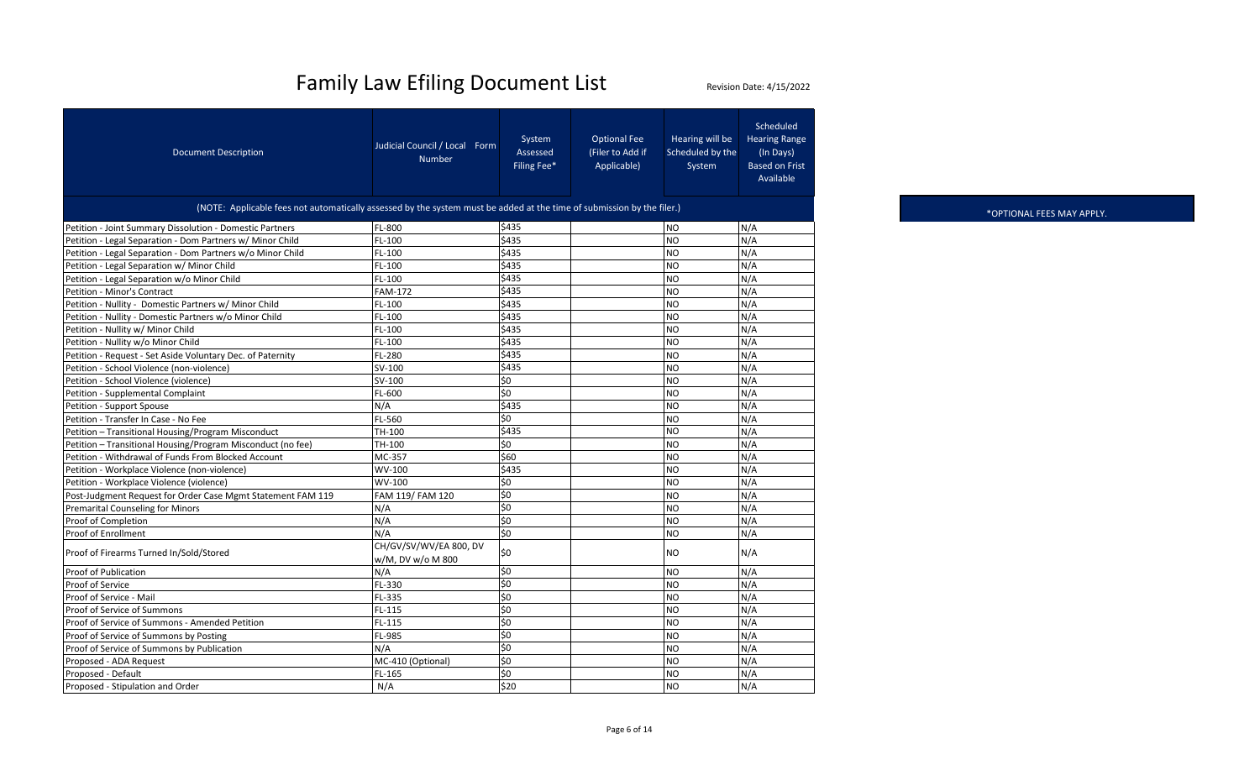| <b>Document Description</b>                                                                                            | Judicial Council / Local Form<br><b>Number</b> | System<br>Assessed<br>Filing Fee* | <b>Optional Fee</b><br>(Filer to Add if<br>Applicable) | Hearing will be<br>Scheduled by the<br>System | Scheduled<br><b>Hearing Range</b><br>(In Days)<br><b>Based on Frist</b><br>Available |  |  |  |  |
|------------------------------------------------------------------------------------------------------------------------|------------------------------------------------|-----------------------------------|--------------------------------------------------------|-----------------------------------------------|--------------------------------------------------------------------------------------|--|--|--|--|
| (NOTE: Applicable fees not automatically assessed by the system must be added at the time of submission by the filer.) |                                                |                                   |                                                        |                                               |                                                                                      |  |  |  |  |
| Petition - Joint Summary Dissolution - Domestic Partners                                                               | FL-800                                         | \$435                             |                                                        | <b>NO</b>                                     | N/A                                                                                  |  |  |  |  |
| Petition - Legal Separation - Dom Partners w/ Minor Child                                                              | FL-100                                         | \$435                             |                                                        | N <sub>O</sub>                                | N/A                                                                                  |  |  |  |  |
| Petition - Legal Separation - Dom Partners w/o Minor Child                                                             | FL-100                                         | \$435                             |                                                        | <b>NO</b>                                     | N/A                                                                                  |  |  |  |  |
| Petition - Legal Separation w/ Minor Child                                                                             | FL-100                                         | \$435                             |                                                        | N <sub>O</sub>                                | N/A                                                                                  |  |  |  |  |
| Petition - Legal Separation w/o Minor Child                                                                            | FL-100                                         | \$435                             |                                                        | <b>NO</b>                                     | N/A                                                                                  |  |  |  |  |
| Petition - Minor's Contract                                                                                            | <b>FAM-172</b>                                 | \$435                             |                                                        | <b>NO</b>                                     | N/A                                                                                  |  |  |  |  |
| Petition - Nullity - Domestic Partners w/ Minor Child                                                                  | FL-100                                         | \$435                             |                                                        | <b>NO</b>                                     | N/A                                                                                  |  |  |  |  |
| Petition - Nullity - Domestic Partners w/o Minor Child                                                                 | FL-100                                         | \$435                             |                                                        | <b>NO</b>                                     | N/A                                                                                  |  |  |  |  |
| Petition - Nullity w/ Minor Child                                                                                      | FL-100                                         | \$435                             |                                                        | <b>NO</b>                                     | N/A                                                                                  |  |  |  |  |
| Petition - Nullity w/o Minor Child                                                                                     | FL-100                                         | \$435                             |                                                        | N <sub>O</sub>                                | N/A                                                                                  |  |  |  |  |
| Petition - Request - Set Aside Voluntary Dec. of Paternity                                                             | FL-280                                         | \$435                             |                                                        | <b>NO</b>                                     | N/A                                                                                  |  |  |  |  |
| Petition - School Violence (non-violence)                                                                              | SV-100                                         | \$435                             |                                                        | <b>NO</b>                                     | N/A                                                                                  |  |  |  |  |
| Petition - School Violence (violence)                                                                                  | SV-100                                         | \$0                               |                                                        | <b>NO</b>                                     | N/A                                                                                  |  |  |  |  |
| Petition - Supplemental Complaint                                                                                      | FL-600                                         | $\overline{50}$                   |                                                        | N <sub>O</sub>                                | N/A                                                                                  |  |  |  |  |
| Petition - Support Spouse                                                                                              | N/A                                            | \$435                             |                                                        | N <sub>O</sub>                                | N/A                                                                                  |  |  |  |  |
| Petition - Transfer In Case - No Fee                                                                                   | FL-560                                         | \$0                               |                                                        | N <sub>O</sub>                                | N/A                                                                                  |  |  |  |  |
| Petition - Transitional Housing/Program Misconduct                                                                     | TH-100                                         | \$435                             |                                                        | <b>NO</b>                                     | N/A                                                                                  |  |  |  |  |
| Petition - Transitional Housing/Program Misconduct (no fee)                                                            | TH-100                                         | \$0                               |                                                        | N <sub>O</sub>                                | N/A                                                                                  |  |  |  |  |
| Petition - Withdrawal of Funds From Blocked Account                                                                    | MC-357                                         | \$60                              |                                                        | <b>NO</b>                                     | N/A                                                                                  |  |  |  |  |
| Petition - Workplace Violence (non-violence)                                                                           | WV-100                                         | \$435                             |                                                        | <b>NO</b>                                     | N/A                                                                                  |  |  |  |  |
| Petition - Workplace Violence (violence)                                                                               | WV-100                                         | \$0                               |                                                        | <b>NO</b>                                     | N/A                                                                                  |  |  |  |  |
| Post-Judgment Request for Order Case Mgmt Statement FAM 119                                                            | FAM 119/ FAM 120                               | \$0                               |                                                        | <b>NO</b>                                     | N/A                                                                                  |  |  |  |  |
| <b>Premarital Counseling for Minors</b>                                                                                | N/A                                            | \$0                               |                                                        | N <sub>O</sub>                                | N/A                                                                                  |  |  |  |  |
| Proof of Completion                                                                                                    | N/A                                            | \$0                               |                                                        | <b>NO</b>                                     | N/A                                                                                  |  |  |  |  |
| Proof of Enrollment                                                                                                    | N/A                                            | \$0                               |                                                        | N <sub>O</sub>                                | N/A                                                                                  |  |  |  |  |
| Proof of Firearms Turned In/Sold/Stored                                                                                | CH/GV/SV/WV/EA 800, DV<br>w/M, DV w/o M 800    | \$0                               |                                                        | <b>NO</b>                                     | N/A                                                                                  |  |  |  |  |
| Proof of Publication                                                                                                   | N/A                                            | \$0                               |                                                        | <b>NO</b>                                     | N/A                                                                                  |  |  |  |  |
| Proof of Service                                                                                                       | FL-330                                         | \$0                               |                                                        | N <sub>O</sub>                                | N/A                                                                                  |  |  |  |  |
| Proof of Service - Mail                                                                                                | FL-335                                         | \$0                               |                                                        | <b>NO</b>                                     | N/A                                                                                  |  |  |  |  |
| Proof of Service of Summons                                                                                            | FL-115                                         | \$0                               |                                                        | <b>NO</b>                                     | N/A                                                                                  |  |  |  |  |
| Proof of Service of Summons - Amended Petition                                                                         | FL-115                                         | \$0                               |                                                        | <b>NO</b>                                     | N/A                                                                                  |  |  |  |  |
| Proof of Service of Summons by Posting                                                                                 | FL-985                                         | \$0                               |                                                        | <b>NO</b>                                     | N/A                                                                                  |  |  |  |  |
| Proof of Service of Summons by Publication                                                                             | N/A                                            | \$0                               |                                                        | N <sub>O</sub>                                | N/A                                                                                  |  |  |  |  |
| Proposed - ADA Request                                                                                                 | MC-410 (Optional)                              | \$0                               |                                                        | <b>NO</b>                                     | N/A                                                                                  |  |  |  |  |
| Proposed - Default                                                                                                     | FL-165                                         | \$0                               |                                                        | <b>NO</b>                                     | N/A                                                                                  |  |  |  |  |
| Proposed - Stipulation and Order                                                                                       | N/A                                            | \$20                              |                                                        | N <sub>O</sub>                                | N/A                                                                                  |  |  |  |  |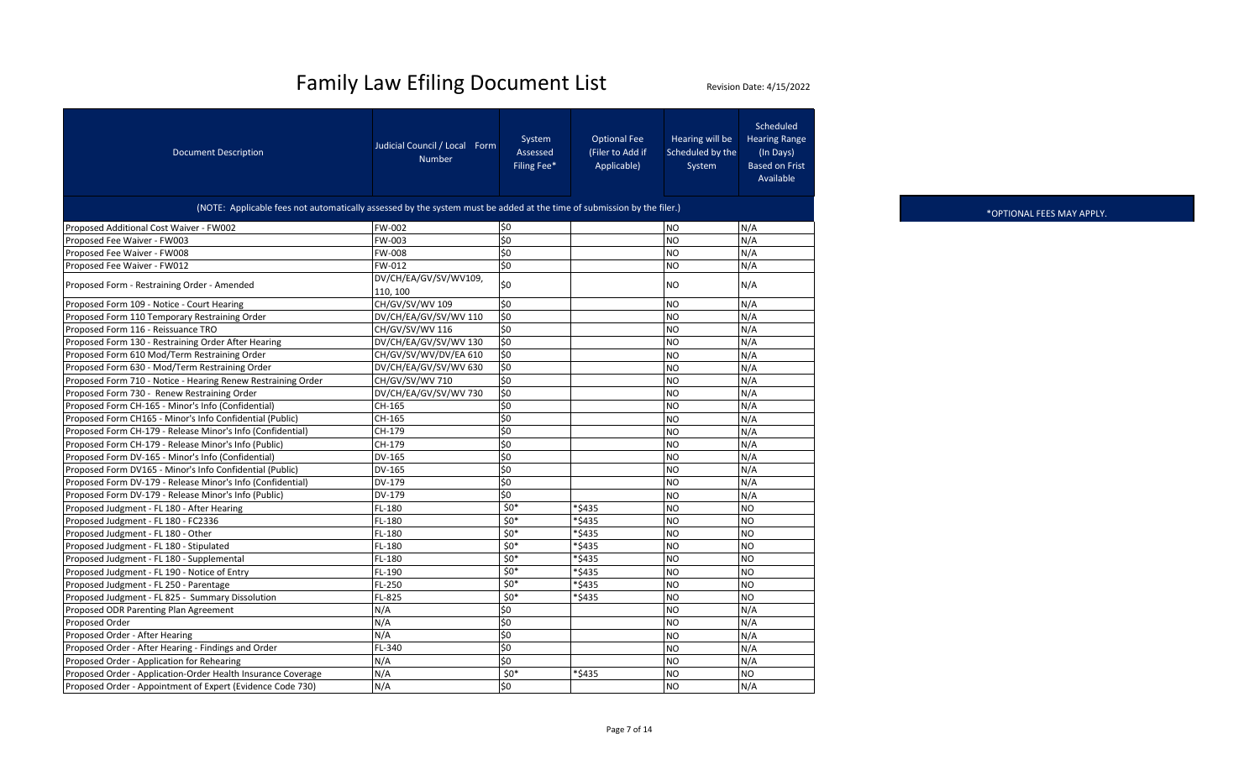| <b>Document Description</b>                                                                                            | Judicial Council / Local Form<br><b>Number</b> | System<br>Assessed<br>Filing Fee* | <b>Optional Fee</b><br>(Filer to Add if<br>Applicable) | Hearing will be<br>Scheduled by the<br>System | <b>Scheduled</b><br><b>Hearing Range</b><br>(In Days)<br><b>Based on Frist</b><br>Available |  |  |  |  |
|------------------------------------------------------------------------------------------------------------------------|------------------------------------------------|-----------------------------------|--------------------------------------------------------|-----------------------------------------------|---------------------------------------------------------------------------------------------|--|--|--|--|
| (NOTE: Applicable fees not automatically assessed by the system must be added at the time of submission by the filer.) |                                                |                                   |                                                        |                                               |                                                                                             |  |  |  |  |
| Proposed Additional Cost Waiver - FW002                                                                                | FW-002                                         | \$0                               |                                                        | NO                                            | N/A                                                                                         |  |  |  |  |
| Proposed Fee Waiver - FW003                                                                                            | FW-003                                         | \$0                               |                                                        | <b>NO</b>                                     | N/A                                                                                         |  |  |  |  |
| Proposed Fee Waiver - FW008                                                                                            | <b>FW-008</b>                                  | \$0                               |                                                        | NO                                            | N/A                                                                                         |  |  |  |  |
| Proposed Fee Waiver - FW012                                                                                            | FW-012                                         | \$0                               |                                                        | N <sub>O</sub>                                | N/A                                                                                         |  |  |  |  |
| Proposed Form - Restraining Order - Amended                                                                            | DV/CH/EA/GV/SV/WV109,<br>110, 100              | \$0                               |                                                        | <b>NO</b>                                     | N/A                                                                                         |  |  |  |  |
| Proposed Form 109 - Notice - Court Hearing                                                                             | CH/GV/SV/WV 109                                | \$0                               |                                                        | <b>NO</b>                                     | N/A                                                                                         |  |  |  |  |
| Proposed Form 110 Temporary Restraining Order                                                                          | DV/CH/EA/GV/SV/WV 110                          | \$0                               |                                                        | N <sub>O</sub>                                | N/A                                                                                         |  |  |  |  |
| Proposed Form 116 - Reissuance TRO                                                                                     | CH/GV/SV/WV 116                                | \$0                               |                                                        | <b>NO</b>                                     | N/A                                                                                         |  |  |  |  |
| Proposed Form 130 - Restraining Order After Hearing                                                                    | DV/CH/EA/GV/SV/WV 130                          | \$0                               |                                                        | <b>NO</b>                                     | N/A                                                                                         |  |  |  |  |
| Proposed Form 610 Mod/Term Restraining Order                                                                           | CH/GV/SV/WV/DV/EA 610                          | \$0                               |                                                        | <b>NO</b>                                     | N/A                                                                                         |  |  |  |  |
| Proposed Form 630 - Mod/Term Restraining Order                                                                         | DV/CH/EA/GV/SV/WV 630                          | \$0                               |                                                        | N <sub>O</sub>                                | N/A                                                                                         |  |  |  |  |
| Proposed Form 710 - Notice - Hearing Renew Restraining Order                                                           | CH/GV/SV/WV 710                                | \$0                               |                                                        | <b>NO</b>                                     | N/A                                                                                         |  |  |  |  |
| Proposed Form 730 - Renew Restraining Order                                                                            | DV/CH/EA/GV/SV/WV 730                          | \$0                               |                                                        | <b>NO</b>                                     | N/A                                                                                         |  |  |  |  |
| Proposed Form CH-165 - Minor's Info (Confidential)                                                                     | CH-165                                         | \$0                               |                                                        | N <sub>O</sub>                                | N/A                                                                                         |  |  |  |  |
| Proposed Form CH165 - Minor's Info Confidential (Public)                                                               | CH-165                                         | $\overline{50}$                   |                                                        | N <sub>O</sub>                                | N/A                                                                                         |  |  |  |  |
| Proposed Form CH-179 - Release Minor's Info (Confidential)                                                             | CH-179                                         | \$0                               |                                                        | <b>NO</b>                                     | N/A                                                                                         |  |  |  |  |
| Proposed Form CH-179 - Release Minor's Info (Public)                                                                   | CH-179                                         | \$0                               |                                                        | <b>NO</b>                                     | N/A                                                                                         |  |  |  |  |
| Proposed Form DV-165 - Minor's Info (Confidential)                                                                     | DV-165                                         | \$0                               |                                                        | N <sub>O</sub>                                | N/A                                                                                         |  |  |  |  |
| Proposed Form DV165 - Minor's Info Confidential (Public)                                                               | DV-165                                         | \$0                               |                                                        | <b>NO</b>                                     | N/A                                                                                         |  |  |  |  |
| Proposed Form DV-179 - Release Minor's Info (Confidential)                                                             | DV-179                                         | \$0                               |                                                        | <b>NO</b>                                     | N/A                                                                                         |  |  |  |  |
| Proposed Form DV-179 - Release Minor's Info (Public)                                                                   | DV-179                                         | \$0                               |                                                        | N <sub>O</sub>                                | N/A                                                                                         |  |  |  |  |
| Proposed Judgment - FL 180 - After Hearing                                                                             | FL-180                                         | $50*$                             | *\$435                                                 | N <sub>O</sub>                                | <b>NO</b>                                                                                   |  |  |  |  |
| Proposed Judgment - FL 180 - FC2336                                                                                    | FL-180                                         | $$0*$                             | *\$435                                                 | <b>NO</b>                                     | <b>NO</b>                                                                                   |  |  |  |  |
| Proposed Judgment - FL 180 - Other                                                                                     | FL-180                                         | $50*$                             | *\$435                                                 | <b>NO</b>                                     | <b>NO</b>                                                                                   |  |  |  |  |
| Proposed Judgment - FL 180 - Stipulated                                                                                | FL-180                                         | $50*$                             | *\$435                                                 | <b>NO</b>                                     | <b>NO</b>                                                                                   |  |  |  |  |
| Proposed Judgment - FL 180 - Supplemental                                                                              | FL-180                                         | $50*$                             | *\$435                                                 | N <sub>O</sub>                                | <b>NO</b>                                                                                   |  |  |  |  |
| Proposed Judgment - FL 190 - Notice of Entry                                                                           | FL-190                                         | $$0*$                             | *\$435                                                 | <b>NO</b>                                     | <b>NO</b>                                                                                   |  |  |  |  |
| Proposed Judgment - FL 250 - Parentage                                                                                 | FL-250                                         | $$0*$                             | *\$435                                                 | <b>NO</b>                                     | <b>NO</b>                                                                                   |  |  |  |  |
| Proposed Judgment - FL 825 - Summary Dissolution                                                                       | FL-825                                         | $50*$                             | *\$435                                                 | N <sub>O</sub>                                | <b>NO</b>                                                                                   |  |  |  |  |
| Proposed ODR Parenting Plan Agreement                                                                                  | N/A                                            | \$0                               |                                                        | <b>NO</b>                                     | N/A                                                                                         |  |  |  |  |
| Proposed Order                                                                                                         | N/A                                            | \$0                               |                                                        | <b>NO</b>                                     | N/A                                                                                         |  |  |  |  |
| Proposed Order - After Hearing                                                                                         | N/A                                            | \$0                               |                                                        | <b>NO</b>                                     | N/A                                                                                         |  |  |  |  |
| Proposed Order - After Hearing - Findings and Order                                                                    | FL-340                                         | \$0                               |                                                        | N <sub>O</sub>                                | N/A                                                                                         |  |  |  |  |
| Proposed Order - Application for Rehearing                                                                             | N/A                                            | \$0                               |                                                        | <b>NO</b>                                     | N/A                                                                                         |  |  |  |  |
| Proposed Order - Application-Order Health Insurance Coverage                                                           | N/A                                            | $$0*$                             | *\$435                                                 | N <sub>O</sub>                                | <b>NO</b>                                                                                   |  |  |  |  |
| Proposed Order - Appointment of Expert (Evidence Code 730)                                                             | N/A                                            | \$0                               |                                                        | <b>NO</b>                                     | N/A                                                                                         |  |  |  |  |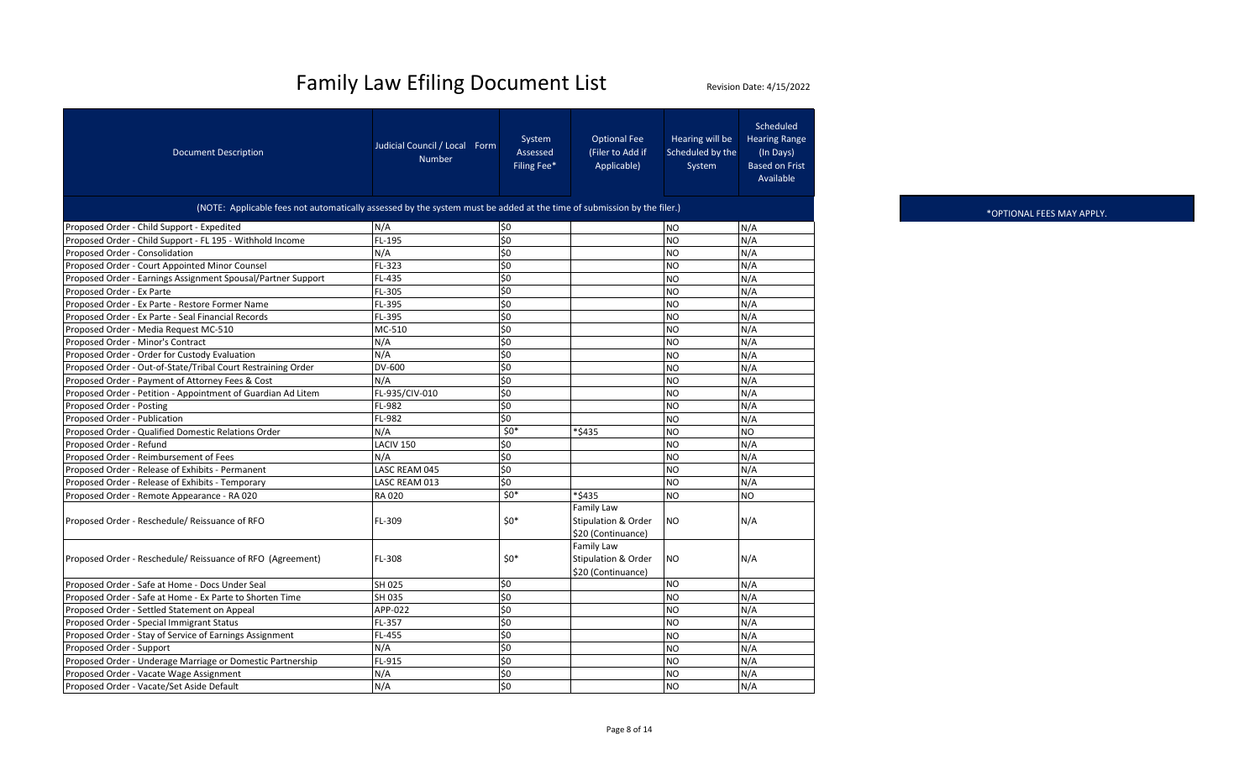| <b>Document Description</b>                                                                                            | Judicial Council / Local Form<br><b>Number</b> | System<br>Assessed<br>Filing Fee* | <b>Optional Fee</b><br>(Filer to Add if<br>Applicable)             | Hearing will be<br>Scheduled by the<br>System | Scheduled<br><b>Hearing Range</b><br>(In Days)<br><b>Based on Frist</b><br>Available |
|------------------------------------------------------------------------------------------------------------------------|------------------------------------------------|-----------------------------------|--------------------------------------------------------------------|-----------------------------------------------|--------------------------------------------------------------------------------------|
| (NOTE: Applicable fees not automatically assessed by the system must be added at the time of submission by the filer.) |                                                |                                   |                                                                    |                                               |                                                                                      |
| Proposed Order - Child Support - Expedited                                                                             | N/A                                            | \$0                               |                                                                    | NO                                            | N/A                                                                                  |
| Proposed Order - Child Support - FL 195 - Withhold Income                                                              | FL-195                                         | \$0                               |                                                                    | <b>NO</b>                                     | N/A                                                                                  |
| Proposed Order - Consolidation                                                                                         | N/A                                            | Ś0                                |                                                                    | N <sub>O</sub>                                | N/A                                                                                  |
| Proposed Order - Court Appointed Minor Counsel                                                                         | FL-323                                         | \$0                               |                                                                    | <b>NO</b>                                     | N/A                                                                                  |
| Proposed Order - Earnings Assignment Spousal/Partner Support                                                           | FL-435                                         | \$0                               |                                                                    | N <sub>O</sub>                                | N/A                                                                                  |
| Proposed Order - Ex Parte                                                                                              | FL-305                                         | \$0                               |                                                                    | <b>NO</b>                                     | N/A                                                                                  |
| Proposed Order - Ex Parte - Restore Former Name                                                                        | FL-395                                         | \$0                               |                                                                    | N <sub>O</sub>                                | N/A                                                                                  |
| Proposed Order - Ex Parte - Seal Financial Records                                                                     | FL-395                                         | \$0                               |                                                                    | <b>NO</b>                                     | N/A                                                                                  |
| Proposed Order - Media Request MC-510                                                                                  | MC-510                                         | \$0                               |                                                                    | N <sub>O</sub>                                | N/A                                                                                  |
| Proposed Order - Minor's Contract                                                                                      | N/A                                            | \$0                               |                                                                    | <b>NO</b>                                     | N/A                                                                                  |
| Proposed Order - Order for Custody Evaluation                                                                          | N/A                                            | Ś0                                |                                                                    | N <sub>O</sub>                                | N/A                                                                                  |
| Proposed Order - Out-of-State/Tribal Court Restraining Order                                                           | DV-600                                         | \$0                               |                                                                    | <b>NO</b>                                     | N/A                                                                                  |
| Proposed Order - Payment of Attorney Fees & Cost                                                                       | N/A                                            | \$0                               |                                                                    | <b>NO</b>                                     | N/A                                                                                  |
| Proposed Order - Petition - Appointment of Guardian Ad Litem                                                           | FL-935/CIV-010                                 | \$0                               |                                                                    | N <sub>O</sub>                                | N/A                                                                                  |
| Proposed Order - Posting                                                                                               | FL-982                                         | \$0                               |                                                                    | N <sub>O</sub>                                | N/A                                                                                  |
| Proposed Order - Publication                                                                                           | FL-982                                         | \$0                               |                                                                    | <b>NO</b>                                     | N/A                                                                                  |
| Proposed Order - Qualified Domestic Relations Order                                                                    | N/A                                            | $$0*$                             | *\$435                                                             | <b>NO</b>                                     | NO                                                                                   |
| Proposed Order - Refund                                                                                                | LACIV <sub>150</sub>                           | \$0                               |                                                                    | NO                                            | N/A                                                                                  |
| Proposed Order - Reimbursement of Fees                                                                                 | N/A                                            | \$0                               |                                                                    | <b>NO</b>                                     | N/A                                                                                  |
| Proposed Order - Release of Exhibits - Permanent                                                                       | LASC REAM 045                                  | \$0                               |                                                                    | <b>NO</b>                                     | N/A                                                                                  |
| Proposed Order - Release of Exhibits - Temporary                                                                       | LASC REAM 013                                  | $\overline{50}$                   |                                                                    | <b>NO</b>                                     | N/A                                                                                  |
| Proposed Order - Remote Appearance - RA 020                                                                            | RA 020                                         | $$0*$                             | *\$435                                                             | NO                                            | NO                                                                                   |
| Proposed Order - Reschedule/ Reissuance of RFO                                                                         | FL-309                                         | $50*$                             | Family Law<br><b>Stipulation &amp; Order</b><br>\$20 (Continuance) | N <sub>O</sub>                                | N/A                                                                                  |
| Proposed Order - Reschedule/ Reissuance of RFO (Agreement)                                                             | FL-308                                         | $50*$                             | Family Law<br><b>Stipulation &amp; Order</b><br>\$20 (Continuance) | N <sub>O</sub>                                | N/A                                                                                  |
| Proposed Order - Safe at Home - Docs Under Seal                                                                        | SH 025                                         | \$0                               |                                                                    | N <sub>O</sub>                                | N/A                                                                                  |
| Proposed Order - Safe at Home - Ex Parte to Shorten Time                                                               | SH 035                                         | \$0                               |                                                                    | N <sub>O</sub>                                | N/A                                                                                  |
| Proposed Order - Settled Statement on Appeal                                                                           | APP-022                                        | \$0                               |                                                                    | <b>NO</b>                                     | N/A                                                                                  |
| Proposed Order - Special Immigrant Status                                                                              | FL-357                                         | \$0                               |                                                                    | N <sub>O</sub>                                | N/A                                                                                  |
| Proposed Order - Stay of Service of Earnings Assignment                                                                | FL-455                                         | \$0                               |                                                                    | <b>NO</b>                                     | N/A                                                                                  |
| Proposed Order - Support                                                                                               | N/A                                            | \$0                               |                                                                    | <b>NO</b>                                     | N/A                                                                                  |
| Proposed Order - Underage Marriage or Domestic Partnership                                                             | FL-915                                         | \$0                               |                                                                    | <b>NO</b>                                     | N/A                                                                                  |
| Proposed Order - Vacate Wage Assignment                                                                                | N/A                                            | \$0                               |                                                                    | N <sub>O</sub>                                | N/A                                                                                  |
| Proposed Order - Vacate/Set Aside Default                                                                              | N/A                                            | \$0                               |                                                                    | <b>NO</b>                                     | N/A                                                                                  |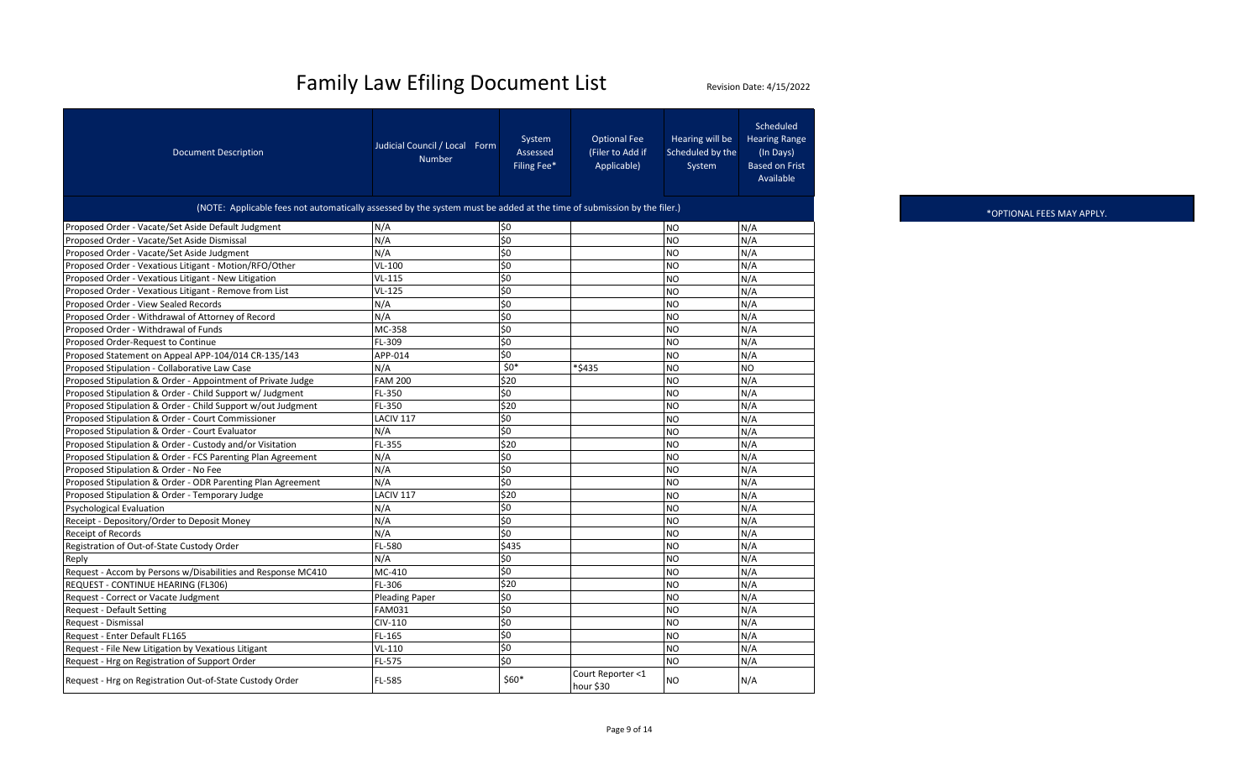| <b>Document Description</b>                                                                                            | Judicial Council / Local Form<br><b>Number</b> | System<br>Assessed<br>Filing Fee* | <b>Optional Fee</b><br>(Filer to Add if<br>Applicable) | Hearing will be<br>Scheduled by the<br>System | Scheduled<br><b>Hearing Range</b><br>(In Days)<br><b>Based on Frist</b><br>Available |  |  |  |  |
|------------------------------------------------------------------------------------------------------------------------|------------------------------------------------|-----------------------------------|--------------------------------------------------------|-----------------------------------------------|--------------------------------------------------------------------------------------|--|--|--|--|
| (NOTE: Applicable fees not automatically assessed by the system must be added at the time of submission by the filer.) |                                                |                                   |                                                        |                                               |                                                                                      |  |  |  |  |
| Proposed Order - Vacate/Set Aside Default Judgment                                                                     | N/A                                            | \$0                               |                                                        | <b>NO</b>                                     | N/A                                                                                  |  |  |  |  |
| Proposed Order - Vacate/Set Aside Dismissal                                                                            | N/A                                            | $\overline{50}$                   |                                                        | <b>NO</b>                                     | N/A                                                                                  |  |  |  |  |
| Proposed Order - Vacate/Set Aside Judgment                                                                             | N/A                                            | \$0                               |                                                        | N <sub>O</sub>                                | N/A                                                                                  |  |  |  |  |
| Proposed Order - Vexatious Litigant - Motion/RFO/Other                                                                 | $VL-100$                                       | \$0                               |                                                        | <b>NO</b>                                     | N/A                                                                                  |  |  |  |  |
| Proposed Order - Vexatious Litigant - New Litigation                                                                   | $VL-115$                                       | \$0                               |                                                        | <b>NO</b>                                     | N/A                                                                                  |  |  |  |  |
| Proposed Order - Vexatious Litigant - Remove from List                                                                 | $VL-125$                                       | $\overline{\xi}$                  |                                                        | <b>NO</b>                                     | N/A                                                                                  |  |  |  |  |
| Proposed Order - View Sealed Records                                                                                   | N/A                                            | \$0                               |                                                        | <b>NO</b>                                     | N/A                                                                                  |  |  |  |  |
| Proposed Order - Withdrawal of Attorney of Record                                                                      | N/A                                            | \$0                               |                                                        | <b>NO</b>                                     | N/A                                                                                  |  |  |  |  |
| Proposed Order - Withdrawal of Funds                                                                                   | MC-358                                         | \$0                               |                                                        | <b>NO</b>                                     | N/A                                                                                  |  |  |  |  |
| Proposed Order-Request to Continue                                                                                     | FL-309                                         | \$0                               |                                                        | <b>NO</b>                                     | N/A                                                                                  |  |  |  |  |
| Proposed Statement on Appeal APP-104/014 CR-135/143                                                                    | APP-014                                        | \$0                               |                                                        | <b>NO</b>                                     | N/A                                                                                  |  |  |  |  |
| Proposed Stipulation - Collaborative Law Case                                                                          | N/A                                            | $$0*$                             | *\$435                                                 | N <sub>O</sub>                                | NO                                                                                   |  |  |  |  |
| Proposed Stipulation & Order - Appointment of Private Judge                                                            | <b>FAM 200</b>                                 | \$20                              |                                                        | <b>NO</b>                                     | N/A                                                                                  |  |  |  |  |
| Proposed Stipulation & Order - Child Support w/ Judgment                                                               | FL-350                                         | \$0                               |                                                        | <b>NO</b>                                     | N/A                                                                                  |  |  |  |  |
| Proposed Stipulation & Order - Child Support w/out Judgment                                                            | FL-350                                         | \$20                              |                                                        | <b>NO</b>                                     | N/A                                                                                  |  |  |  |  |
| Proposed Stipulation & Order - Court Commissioner                                                                      | LACIV 117                                      | \$0                               |                                                        | N <sub>O</sub>                                | N/A                                                                                  |  |  |  |  |
| Proposed Stipulation & Order - Court Evaluator                                                                         | N/A                                            | \$0                               |                                                        | N <sub>O</sub>                                | N/A                                                                                  |  |  |  |  |
| Proposed Stipulation & Order - Custody and/or Visitation                                                               | FL-355                                         | \$20                              |                                                        | <b>NO</b>                                     | N/A                                                                                  |  |  |  |  |
| Proposed Stipulation & Order - FCS Parenting Plan Agreement                                                            | N/A                                            | \$0                               |                                                        | <b>NO</b>                                     | N/A                                                                                  |  |  |  |  |
| Proposed Stipulation & Order - No Fee                                                                                  | N/A                                            | \$0                               |                                                        | N <sub>O</sub>                                | N/A                                                                                  |  |  |  |  |
| Proposed Stipulation & Order - ODR Parenting Plan Agreement                                                            | N/A                                            | \$0                               |                                                        | <b>NO</b>                                     | N/A                                                                                  |  |  |  |  |
| Proposed Stipulation & Order - Temporary Judge                                                                         | LACIV 117                                      | \$20                              |                                                        | <b>NO</b>                                     | N/A                                                                                  |  |  |  |  |
| <b>Psychological Evaluation</b>                                                                                        | N/A                                            | \$0                               |                                                        | <b>NO</b>                                     | N/A                                                                                  |  |  |  |  |
| Receipt - Depository/Order to Deposit Money                                                                            | N/A                                            | $\overline{\xi}$                  |                                                        | <b>NO</b>                                     | N/A                                                                                  |  |  |  |  |
| Receipt of Records                                                                                                     | N/A                                            | \$0                               |                                                        | <b>NO</b>                                     | N/A                                                                                  |  |  |  |  |
| Registration of Out-of-State Custody Order                                                                             | FL-580                                         | \$435                             |                                                        | <b>NO</b>                                     | N/A                                                                                  |  |  |  |  |
| Reply                                                                                                                  | N/A                                            | \$0                               |                                                        | <b>NO</b>                                     | N/A                                                                                  |  |  |  |  |
| Request - Accom by Persons w/Disabilities and Response MC410                                                           | MC-410                                         | \$0                               |                                                        | <b>NO</b>                                     | N/A                                                                                  |  |  |  |  |
| REQUEST - CONTINUE HEARING (FL306)                                                                                     | FL-306                                         | \$20                              |                                                        | <b>NO</b>                                     | N/A                                                                                  |  |  |  |  |
| Request - Correct or Vacate Judgment                                                                                   | <b>Pleading Paper</b>                          | \$0                               |                                                        | <b>NO</b>                                     | N/A                                                                                  |  |  |  |  |
| <b>Request - Default Setting</b>                                                                                       | <b>FAM031</b>                                  | \$0                               |                                                        | <b>NO</b>                                     | N/A                                                                                  |  |  |  |  |
| Request - Dismissal                                                                                                    | CIV-110                                        | \$0                               |                                                        | <b>NO</b>                                     | N/A                                                                                  |  |  |  |  |
| Request - Enter Default FL165                                                                                          | FL-165                                         | \$0                               |                                                        | <b>NO</b>                                     | N/A                                                                                  |  |  |  |  |
| Request - File New Litigation by Vexatious Litigant                                                                    | $VL-110$                                       | \$0                               |                                                        | <b>NO</b>                                     | N/A                                                                                  |  |  |  |  |
| Request - Hrg on Registration of Support Order                                                                         | FL-575                                         | \$0                               |                                                        | <b>NO</b>                                     | N/A                                                                                  |  |  |  |  |
| Request - Hrg on Registration Out-of-State Custody Order                                                               | FL-585                                         | \$60*                             | Court Reporter <1<br>hour \$30                         | <b>NO</b>                                     | N/A                                                                                  |  |  |  |  |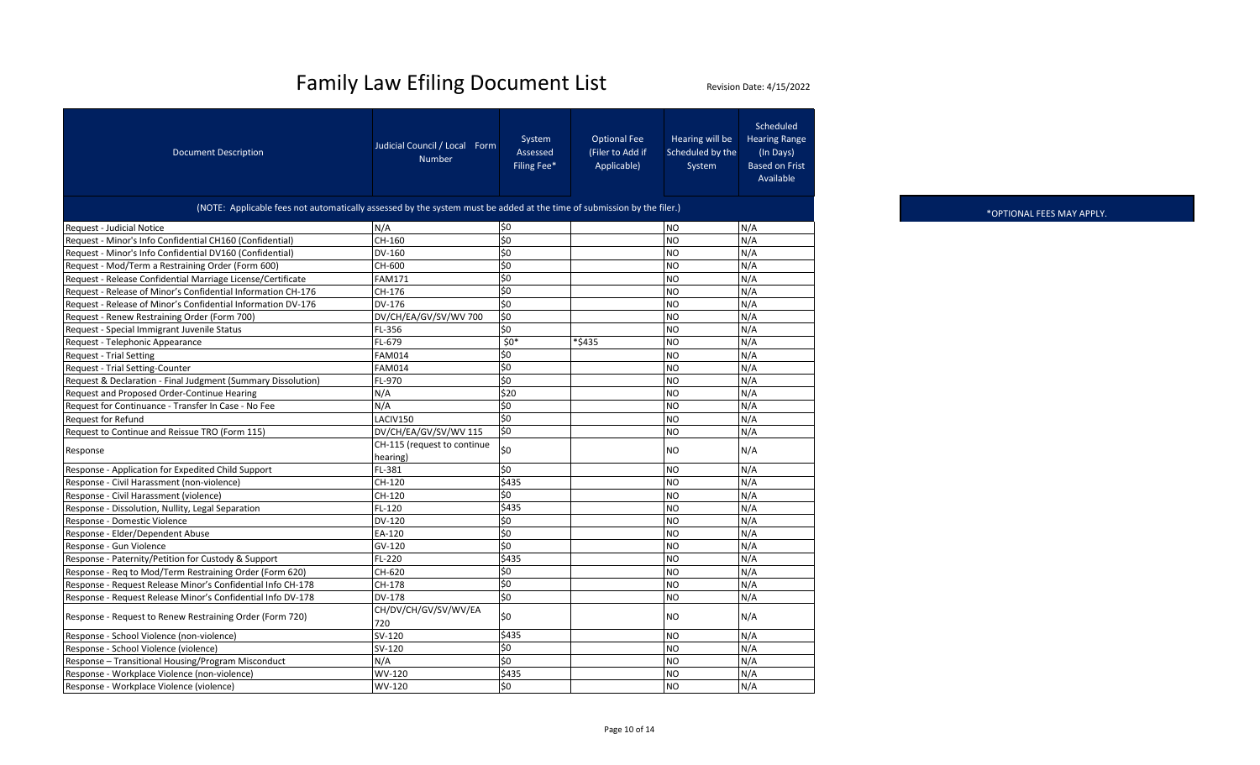| <b>Document Description</b>                                                                                            | Judicial Council / Local Form<br><b>Number</b> | System<br>Assessed<br>Filing Fee* | <b>Optional Fee</b><br>(Filer to Add if<br>Applicable) | Hearing will be<br>Scheduled by the<br>System | Scheduled<br><b>Hearing Range</b><br>(In Days)<br><b>Based on Frist</b><br>Available |
|------------------------------------------------------------------------------------------------------------------------|------------------------------------------------|-----------------------------------|--------------------------------------------------------|-----------------------------------------------|--------------------------------------------------------------------------------------|
| (NOTE: Applicable fees not automatically assessed by the system must be added at the time of submission by the filer.) |                                                |                                   |                                                        |                                               |                                                                                      |
| Request - Judicial Notice                                                                                              | N/A                                            | \$0                               |                                                        | <b>NO</b>                                     | N/A                                                                                  |
| Request - Minor's Info Confidential CH160 (Confidential)                                                               | $CH-160$                                       | $\overline{\xi}$                  |                                                        | <b>NO</b>                                     | N/A                                                                                  |
| Request - Minor's Info Confidential DV160 (Confidential)                                                               | DV-160                                         | \$0                               |                                                        | <b>NO</b>                                     | N/A                                                                                  |
| Request - Mod/Term a Restraining Order (Form 600)                                                                      | CH-600                                         | \$0                               |                                                        | <b>NO</b>                                     | N/A                                                                                  |
| Request - Release Confidential Marriage License/Certificate                                                            | <b>FAM171</b>                                  | \$0                               |                                                        | <b>NO</b>                                     | N/A                                                                                  |
| Request - Release of Minor's Confidential Information CH-176                                                           | CH-176                                         | \$0                               |                                                        | <b>NO</b>                                     | N/A                                                                                  |
| Request - Release of Minor's Confidential Information DV-176                                                           | DV-176                                         | \$0                               |                                                        | <b>NO</b>                                     | N/A                                                                                  |
| Request - Renew Restraining Order (Form 700)                                                                           | DV/CH/EA/GV/SV/WV 700                          | \$0                               |                                                        | <b>NO</b>                                     | N/A                                                                                  |
| Request - Special Immigrant Juvenile Status                                                                            | FL-356                                         | \$0                               |                                                        | <b>NO</b>                                     | N/A                                                                                  |
| Request - Telephonic Appearance                                                                                        | FL-679                                         | $$0*$                             | *\$435                                                 | <b>NO</b>                                     | N/A                                                                                  |
| <b>Request - Trial Setting</b>                                                                                         | <b>FAM014</b>                                  | \$0                               |                                                        | <b>NO</b>                                     | N/A                                                                                  |
| Request - Trial Setting-Counter                                                                                        | <b>FAM014</b>                                  | \$0                               |                                                        | <b>NO</b>                                     | N/A                                                                                  |
| Request & Declaration - Final Judgment (Summary Dissolution)                                                           | FL-970                                         | \$0                               |                                                        | <b>NO</b>                                     | N/A                                                                                  |
| Request and Proposed Order-Continue Hearing                                                                            | N/A                                            | \$20                              |                                                        | <b>NO</b>                                     | N/A                                                                                  |
| Request for Continuance - Transfer In Case - No Fee                                                                    | N/A                                            | \$0                               |                                                        | <b>NO</b>                                     | N/A                                                                                  |
| Request for Refund                                                                                                     | LACIV150                                       | Ś0                                |                                                        | <b>NO</b>                                     | N/A                                                                                  |
| Request to Continue and Reissue TRO (Form 115)                                                                         | DV/CH/EA/GV/SV/WV 115                          | \$0                               |                                                        | <b>NO</b>                                     | N/A                                                                                  |
| Response                                                                                                               | CH-115 (request to continue<br>hearing)        | \$0                               |                                                        | <b>NO</b>                                     | N/A                                                                                  |
| Response - Application for Expedited Child Support                                                                     | FL-381                                         | Ś0                                |                                                        | <b>NO</b>                                     | N/A                                                                                  |
| Response - Civil Harassment (non-violence)                                                                             | CH-120                                         | \$435                             |                                                        | <b>NO</b>                                     | N/A                                                                                  |
| Response - Civil Harassment (violence)                                                                                 | CH-120                                         | \$0                               |                                                        | <b>NO</b>                                     | N/A                                                                                  |
| Response - Dissolution, Nullity, Legal Separation                                                                      | FL-120                                         | \$435                             |                                                        | <b>NO</b>                                     | N/A                                                                                  |
| Response - Domestic Violence                                                                                           | DV-120                                         | \$0                               |                                                        | <b>NO</b>                                     | N/A                                                                                  |
| Response - Elder/Dependent Abuse                                                                                       | EA-120                                         | \$0                               |                                                        | <b>NO</b>                                     | N/A                                                                                  |
| Response - Gun Violence                                                                                                | GV-120                                         | \$0                               |                                                        | <b>NO</b>                                     | N/A                                                                                  |
| Response - Paternity/Petition for Custody & Support                                                                    | FL-220                                         | \$435                             |                                                        | <b>NO</b>                                     | N/A                                                                                  |
| Response - Req to Mod/Term Restraining Order (Form 620)                                                                | CH-620                                         | \$0                               |                                                        | <b>NO</b>                                     | N/A                                                                                  |
| Response - Request Release Minor's Confidential Info CH-178                                                            | CH-178                                         | \$0                               |                                                        | <b>NO</b>                                     | N/A                                                                                  |
| Response - Request Release Minor's Confidential Info DV-178                                                            | DV-178                                         | \$0                               |                                                        | <b>NO</b>                                     | N/A                                                                                  |
| Response - Request to Renew Restraining Order (Form 720)                                                               | CH/DV/CH/GV/SV/WV/EA<br>720                    | \$0                               |                                                        | <b>NO</b>                                     | N/A                                                                                  |
| Response - School Violence (non-violence)                                                                              | SV-120                                         | \$435                             |                                                        | <b>NO</b>                                     | N/A                                                                                  |
| Response - School Violence (violence)                                                                                  | SV-120                                         | \$0                               |                                                        | <b>NO</b>                                     | N/A                                                                                  |
| Response - Transitional Housing/Program Misconduct                                                                     | N/A                                            | $\overline{\xi}$                  |                                                        | <b>NO</b>                                     | N/A                                                                                  |
| Response - Workplace Violence (non-violence)                                                                           | WV-120                                         | \$435                             |                                                        | <b>NO</b>                                     | N/A                                                                                  |
| Response - Workplace Violence (violence)                                                                               | WV-120                                         | \$0                               |                                                        | <b>NO</b>                                     | N/A                                                                                  |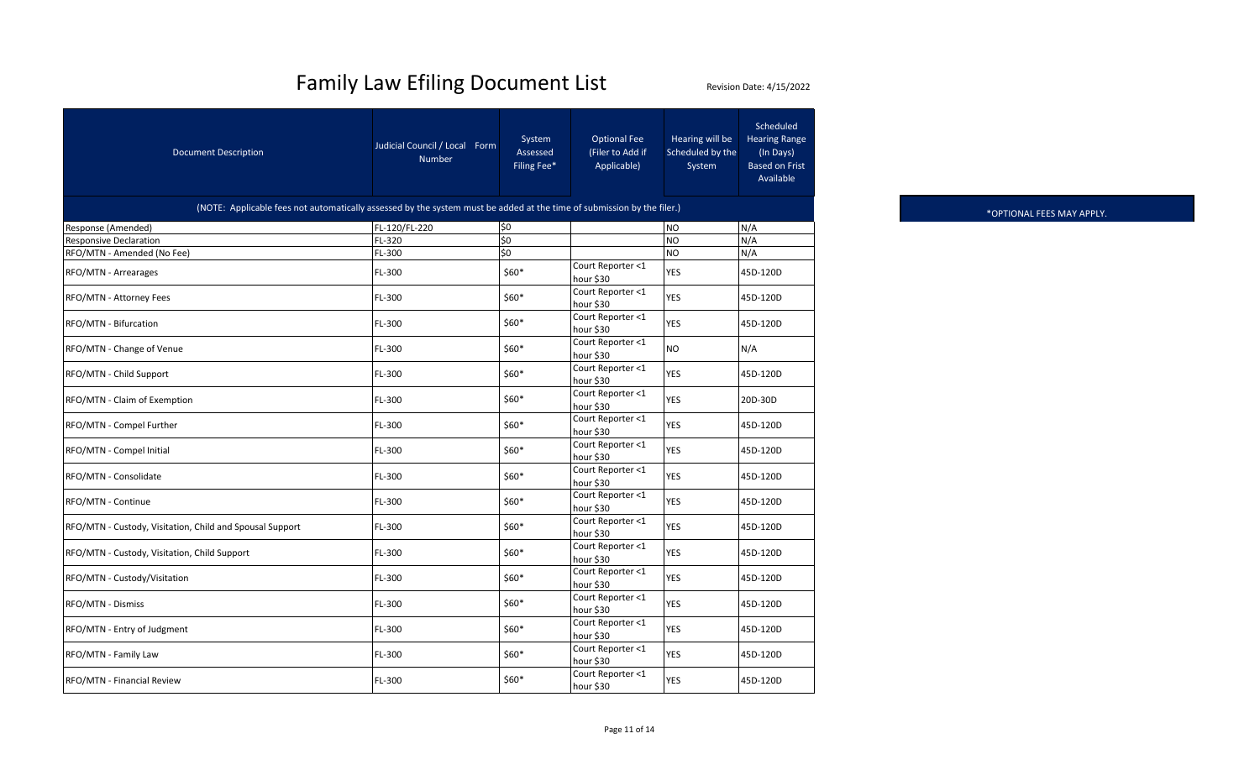| <b>Document Description</b>                                                                                            | Judicial Council / Local Form<br><b>Number</b> | System<br>Assessed<br>Filing Fee* | <b>Optional Fee</b><br>(Filer to Add if<br>Applicable) | Hearing will be<br>Scheduled by the<br>System | Scheduled<br><b>Hearing Range</b><br>(In Days)<br><b>Based on Frist</b><br>Available |  |  |  |
|------------------------------------------------------------------------------------------------------------------------|------------------------------------------------|-----------------------------------|--------------------------------------------------------|-----------------------------------------------|--------------------------------------------------------------------------------------|--|--|--|
| (NOTE: Applicable fees not automatically assessed by the system must be added at the time of submission by the filer.) |                                                |                                   |                                                        |                                               |                                                                                      |  |  |  |
| Response (Amended)                                                                                                     | FL-120/FL-220                                  | \$0                               |                                                        | <b>NO</b>                                     | N/A                                                                                  |  |  |  |
| <b>Responsive Declaration</b>                                                                                          | FL-320                                         | $\overline{50}$                   |                                                        | <b>NO</b>                                     | N/A                                                                                  |  |  |  |
| RFO/MTN - Amended (No Fee)                                                                                             | FL-300                                         | \$0                               |                                                        | <b>NO</b>                                     | N/A                                                                                  |  |  |  |
| RFO/MTN - Arrearages                                                                                                   | FL-300                                         | $$60*$                            | Court Reporter <1<br>hour \$30                         | <b>YES</b>                                    | 45D-120D                                                                             |  |  |  |
| RFO/MTN - Attorney Fees                                                                                                | FL-300                                         | $$60*$                            | Court Reporter <1<br>hour \$30                         | <b>YES</b>                                    | 45D-120D                                                                             |  |  |  |
| RFO/MTN - Bifurcation                                                                                                  | FL-300                                         | \$60*                             | Court Reporter <1<br>hour \$30                         | <b>YES</b>                                    | 45D-120D                                                                             |  |  |  |
| RFO/MTN - Change of Venue                                                                                              | FL-300                                         | \$60*                             | Court Reporter <1<br>hour \$30                         | N <sub>O</sub>                                | N/A                                                                                  |  |  |  |
| RFO/MTN - Child Support                                                                                                | FL-300                                         | $$60*$                            | Court Reporter <1<br>hour \$30                         | <b>YES</b>                                    | 45D-120D                                                                             |  |  |  |
| RFO/MTN - Claim of Exemption                                                                                           | FL-300                                         | $$60*$                            | Court Reporter <1<br>hour \$30                         | <b>YES</b>                                    | 20D-30D                                                                              |  |  |  |
| RFO/MTN - Compel Further                                                                                               | FL-300                                         | \$60*                             | Court Reporter <1<br>hour \$30                         | <b>YES</b>                                    | 45D-120D                                                                             |  |  |  |
| RFO/MTN - Compel Initial                                                                                               | FL-300                                         | \$60*                             | Court Reporter <1<br>hour \$30                         | <b>YES</b>                                    | 45D-120D                                                                             |  |  |  |
| RFO/MTN - Consolidate                                                                                                  | FL-300                                         | \$60*                             | Court Reporter <1<br>hour \$30                         | <b>YES</b>                                    | 45D-120D                                                                             |  |  |  |
| RFO/MTN - Continue                                                                                                     | FL-300                                         | $$60*$                            | Court Reporter <1<br>hour \$30                         | <b>YES</b>                                    | 45D-120D                                                                             |  |  |  |
| RFO/MTN - Custody, Visitation, Child and Spousal Support                                                               | FL-300                                         | $$60*$                            | Court Reporter <1<br>hour \$30                         | <b>YES</b>                                    | 45D-120D                                                                             |  |  |  |
| RFO/MTN - Custody, Visitation, Child Support                                                                           | FL-300                                         | \$60*                             | Court Reporter <1<br>hour \$30                         | <b>YES</b>                                    | 45D-120D                                                                             |  |  |  |
| RFO/MTN - Custody/Visitation                                                                                           | FL-300                                         | \$60*                             | Court Reporter <1<br>hour \$30                         | <b>YES</b>                                    | 45D-120D                                                                             |  |  |  |
| RFO/MTN - Dismiss                                                                                                      | FL-300                                         | \$60*                             | Court Reporter <1<br>hour \$30                         | <b>YES</b>                                    | 45D-120D                                                                             |  |  |  |
| RFO/MTN - Entry of Judgment                                                                                            | FL-300                                         | $$60*$                            | Court Reporter <1<br>hour \$30                         | <b>YES</b>                                    | 45D-120D                                                                             |  |  |  |
| RFO/MTN - Family Law                                                                                                   | FL-300                                         | $$60*$                            | Court Reporter <1<br>hour \$30                         | YES                                           | 45D-120D                                                                             |  |  |  |
| RFO/MTN - Financial Review                                                                                             | FL-300                                         | \$60*                             | Court Reporter <1<br>hour \$30                         | <b>YES</b>                                    | 45D-120D                                                                             |  |  |  |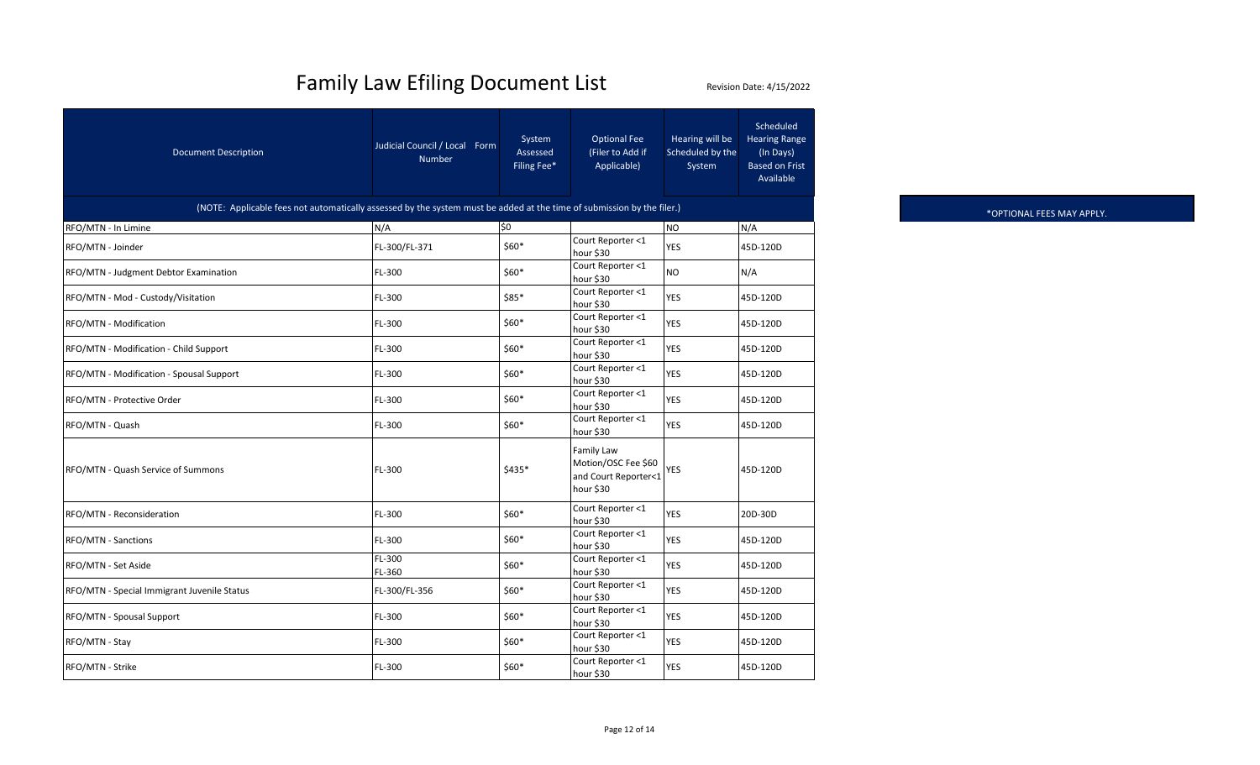| <b>Document Description</b>                                                                                            | Judicial Council / Local Form<br><b>Number</b> | System<br>Assessed<br>Filing Fee*        | <b>Optional Fee</b><br>(Filer to Add if<br>Applicable)                        | Hearing will be<br>Scheduled by the<br>System | Scheduled<br><b>Hearing Range</b><br>(In Days)<br><b>Based on Frist</b><br>Available |  |  |  |
|------------------------------------------------------------------------------------------------------------------------|------------------------------------------------|------------------------------------------|-------------------------------------------------------------------------------|-----------------------------------------------|--------------------------------------------------------------------------------------|--|--|--|
| (NOTE: Applicable fees not automatically assessed by the system must be added at the time of submission by the filer.) |                                                |                                          |                                                                               |                                               |                                                                                      |  |  |  |
| RFO/MTN - In Limine                                                                                                    | N/A                                            | \$0                                      |                                                                               | <b>NO</b>                                     | N/A                                                                                  |  |  |  |
| RFO/MTN - Joinder                                                                                                      | FL-300/FL-371                                  | $$60*$                                   | Court Reporter <1<br>hour \$30                                                | <b>YES</b>                                    | 45D-120D                                                                             |  |  |  |
| RFO/MTN - Judgment Debtor Examination                                                                                  | FL-300                                         | $$60*$                                   | Court Reporter <1<br>hour \$30                                                | <b>NO</b>                                     | N/A                                                                                  |  |  |  |
| RFO/MTN - Mod - Custody/Visitation                                                                                     | FL-300                                         | $$85*$                                   | Court Reporter <1<br>hour \$30                                                | <b>YES</b>                                    | 45D-120D                                                                             |  |  |  |
| RFO/MTN - Modification                                                                                                 | FL-300                                         | $$60*$                                   | Court Reporter <1<br>hour \$30                                                | <b>YES</b>                                    | 45D-120D                                                                             |  |  |  |
| RFO/MTN - Modification - Child Support                                                                                 | FL-300                                         | $$60*$                                   | Court Reporter <1<br>hour \$30                                                | <b>YES</b>                                    | 45D-120D                                                                             |  |  |  |
| RFO/MTN - Modification - Spousal Support                                                                               | FL-300                                         | $$60*$                                   | Court Reporter <1<br>hour \$30                                                | <b>YES</b>                                    | 45D-120D                                                                             |  |  |  |
| RFO/MTN - Protective Order                                                                                             | FL-300                                         | $$60*$                                   | Court Reporter <1<br>hour \$30                                                | <b>YES</b>                                    | 45D-120D                                                                             |  |  |  |
| RFO/MTN - Quash                                                                                                        | FL-300                                         | $$60*$                                   | Court Reporter <1<br>hour \$30                                                | <b>YES</b>                                    | 45D-120D                                                                             |  |  |  |
| RFO/MTN - Quash Service of Summons                                                                                     | FL-300                                         | \$435*                                   | <b>Family Law</b><br>Motion/OSC Fee \$60<br>and Court Reporter<1<br>hour \$30 | YES                                           | 45D-120D                                                                             |  |  |  |
| RFO/MTN - Reconsideration                                                                                              | FL-300                                         | $$60*$                                   | Court Reporter <1<br>hour \$30                                                | <b>YES</b>                                    | 20D-30D                                                                              |  |  |  |
| RFO/MTN - Sanctions                                                                                                    | FL-300                                         | $$60*$                                   | Court Reporter <1<br>hour \$30                                                | <b>YES</b>                                    | 45D-120D                                                                             |  |  |  |
| RFO/MTN - Set Aside                                                                                                    | FL-300<br>FL-360                               | $$60*$                                   | Court Reporter <1<br>hour \$30                                                | <b>YES</b>                                    | 45D-120D                                                                             |  |  |  |
| RFO/MTN - Special Immigrant Juvenile Status                                                                            | FL-300/FL-356                                  | $$60*$                                   | Court Reporter <1<br>hour \$30                                                | <b>YES</b>                                    | 45D-120D                                                                             |  |  |  |
| RFO/MTN - Spousal Support                                                                                              | FL-300                                         | Court Reporter <1<br>$$60*$<br>hour \$30 |                                                                               | <b>YES</b>                                    | 45D-120D                                                                             |  |  |  |
| RFO/MTN - Stay                                                                                                         | FL-300                                         | Court Reporter <1<br>$$60*$<br>hour \$30 |                                                                               | <b>YES</b>                                    | 45D-120D                                                                             |  |  |  |
| RFO/MTN - Strike                                                                                                       | FL-300                                         | $$60*$                                   | Court Reporter <1<br>hour \$30                                                | <b>YES</b>                                    | 45D-120D                                                                             |  |  |  |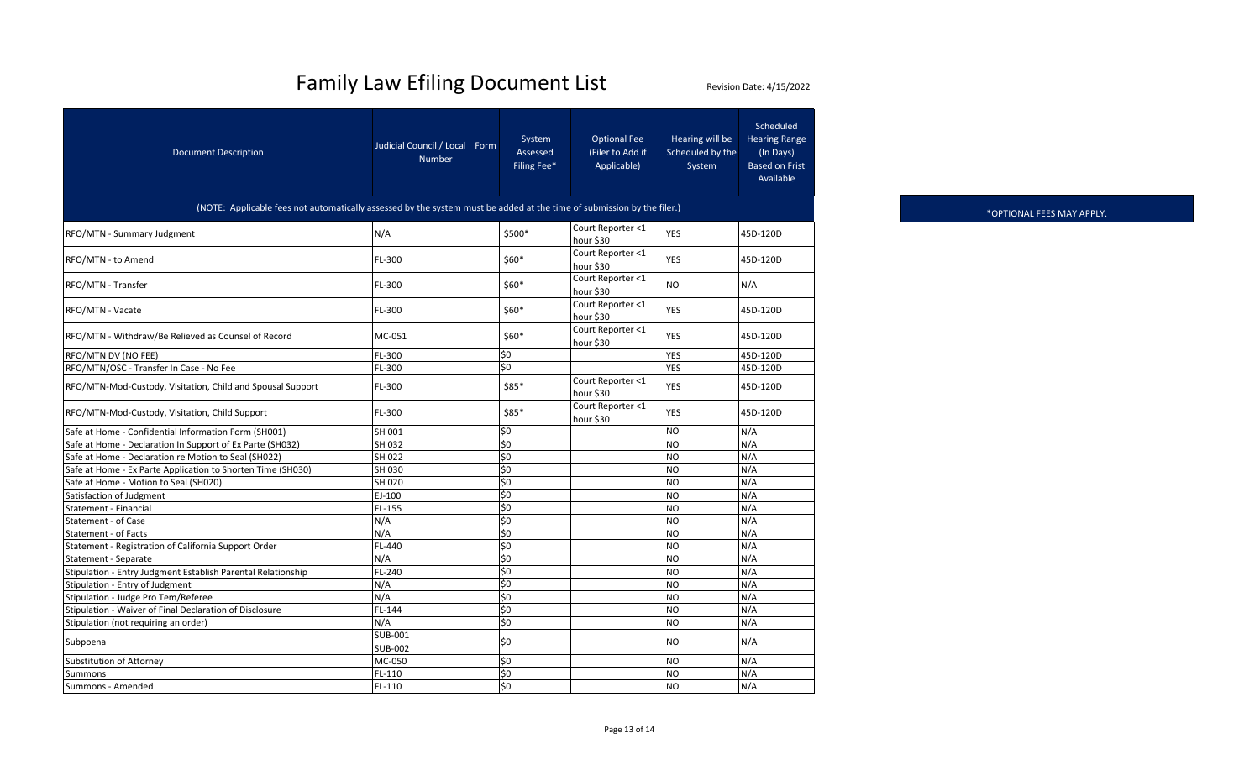| <b>Document Description</b>                                                                                            | Judicial Council / Local Form<br><b>Number</b> | System<br>Assessed<br>Filing Fee* | <b>Optional Fee</b><br>(Filer to Add if<br>Applicable) | Hearing will be<br>Scheduled by the<br>System | Scheduled<br><b>Hearing Range</b><br>(In Days)<br><b>Based on Frist</b><br>Available |  |
|------------------------------------------------------------------------------------------------------------------------|------------------------------------------------|-----------------------------------|--------------------------------------------------------|-----------------------------------------------|--------------------------------------------------------------------------------------|--|
| (NOTE: Applicable fees not automatically assessed by the system must be added at the time of submission by the filer.) |                                                |                                   |                                                        |                                               |                                                                                      |  |
| RFO/MTN - Summary Judgment                                                                                             | N/A                                            | \$500*                            | Court Reporter <1<br>hour \$30                         | <b>YES</b>                                    | 45D-120D                                                                             |  |
| RFO/MTN - to Amend                                                                                                     | FL-300                                         | $$60*$                            | Court Reporter <1<br>hour \$30                         | <b>YES</b>                                    | 45D-120D                                                                             |  |
| RFO/MTN - Transfer                                                                                                     | FL-300                                         | $$60*$                            | Court Reporter <1<br>hour \$30                         | <b>NO</b>                                     | N/A                                                                                  |  |
| RFO/MTN - Vacate                                                                                                       | FL-300                                         | $$60*$                            | Court Reporter <1<br>hour \$30                         | YES                                           | 45D-120D                                                                             |  |
| RFO/MTN - Withdraw/Be Relieved as Counsel of Record                                                                    | MC-051                                         | $$60*$                            | Court Reporter <1<br>hour \$30                         | <b>YES</b>                                    | 45D-120D                                                                             |  |
| RFO/MTN DV (NO FEE)                                                                                                    | FL-300                                         | \$0                               |                                                        | <b>YES</b>                                    | 45D-120D                                                                             |  |
| RFO/MTN/OSC - Transfer In Case - No Fee                                                                                | FL-300                                         | $\overline{\varsigma_0}$          |                                                        | <b>YES</b>                                    | 45D-120D                                                                             |  |
| RFO/MTN-Mod-Custody, Visitation, Child and Spousal Support                                                             | FL-300                                         | \$85*                             | Court Reporter <1<br>hour \$30                         | <b>YES</b>                                    | 45D-120D                                                                             |  |
| RFO/MTN-Mod-Custody, Visitation, Child Support                                                                         | FL-300                                         | $$85*$                            | Court Reporter <1<br>hour \$30                         | <b>YES</b>                                    | 45D-120D                                                                             |  |
| Safe at Home - Confidential Information Form (SH001)                                                                   | SH 001                                         | \$0                               |                                                        | <b>NO</b>                                     | N/A                                                                                  |  |
| Safe at Home - Declaration In Support of Ex Parte (SH032)                                                              | SH 032                                         | \$0                               |                                                        | <b>NO</b>                                     | N/A                                                                                  |  |
| Safe at Home - Declaration re Motion to Seal (SH022)                                                                   | SH 022                                         | \$0                               |                                                        | <b>NO</b>                                     | N/A                                                                                  |  |
| Safe at Home - Ex Parte Application to Shorten Time (SH030)                                                            | SH 030                                         | \$0                               |                                                        | <b>NO</b>                                     | N/A                                                                                  |  |
| Safe at Home - Motion to Seal (SH020)                                                                                  | SH 020                                         | \$0                               |                                                        | Ю                                             | N/A                                                                                  |  |
| Satisfaction of Judgment                                                                                               | EJ-100                                         | \$0                               |                                                        | <b>NO</b>                                     | N/A                                                                                  |  |
| Statement - Financial                                                                                                  | FL-155                                         | \$0                               |                                                        | <b>NO</b>                                     | N/A                                                                                  |  |
| Statement - of Case                                                                                                    | N/A                                            | \$0                               |                                                        | <b>NO</b>                                     | N/A                                                                                  |  |
| Statement - of Facts                                                                                                   | N/A                                            | \$0                               |                                                        | Ю                                             | N/A                                                                                  |  |
| Statement - Registration of California Support Order                                                                   | FL-440                                         | \$0                               |                                                        | <b>NO</b>                                     | N/A                                                                                  |  |
| Statement - Separate                                                                                                   | N/A                                            | \$0                               |                                                        | <b>NO</b>                                     | N/A                                                                                  |  |
| Stipulation - Entry Judgment Establish Parental Relationship                                                           | FL-240                                         | \$0                               |                                                        | NO                                            | N/A                                                                                  |  |
| Stipulation - Entry of Judgment                                                                                        | N/A                                            | \$0                               |                                                        | <b>NO</b>                                     | N/A                                                                                  |  |
| Stipulation - Judge Pro Tem/Referee                                                                                    | N/A                                            | \$0                               |                                                        | <b>NO</b>                                     | N/A                                                                                  |  |
| Stipulation - Waiver of Final Declaration of Disclosure                                                                | FL-144                                         | \$0                               |                                                        | <b>NO</b>                                     | N/A                                                                                  |  |
| Stipulation (not requiring an order)                                                                                   | N/A                                            | \$0                               |                                                        | <b>NO</b>                                     | N/A                                                                                  |  |
| Subpoena                                                                                                               | <b>SUB-001</b><br><b>SUB-002</b>               | \$0                               |                                                        | <b>NO</b>                                     | N/A                                                                                  |  |
| Substitution of Attorney                                                                                               | MC-050                                         | \$0                               |                                                        | <b>NO</b>                                     | N/A                                                                                  |  |
| Summons                                                                                                                | $FL-110$                                       | \$0                               |                                                        | NO                                            | N/A                                                                                  |  |
| Summons - Amended                                                                                                      | FL-110                                         | \$0                               |                                                        | <b>NO</b>                                     | N/A                                                                                  |  |